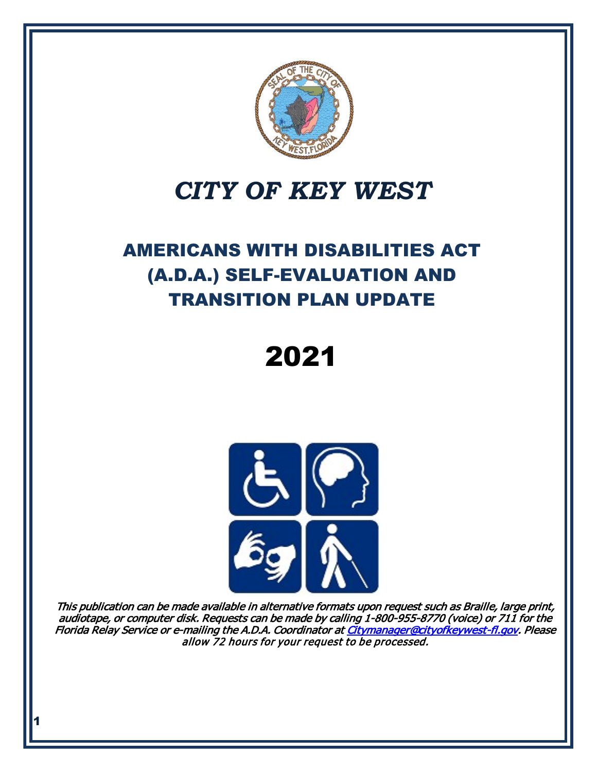

# *CITY OF KEY WEST*

# AMERICANS WITH DISABILITIES ACT (A.D.A.) SELF-EVALUATION AND TRANSITION PLAN UPDATE

2021



This publication can be made available in alternative formats upon request such as Braille, large print, audiotape, or computer disk. Requests can be made by calling 1-800-955-8770 (voice) or 711 for the Florida Relay Service or e-mailing the A.D.A. Coordinator a[t Citymanager@cityofkeywest-fl.gov.](mailto:tstoughton@cityofkeywest-fl.gov) Please allow 72 hours for your request to be processed.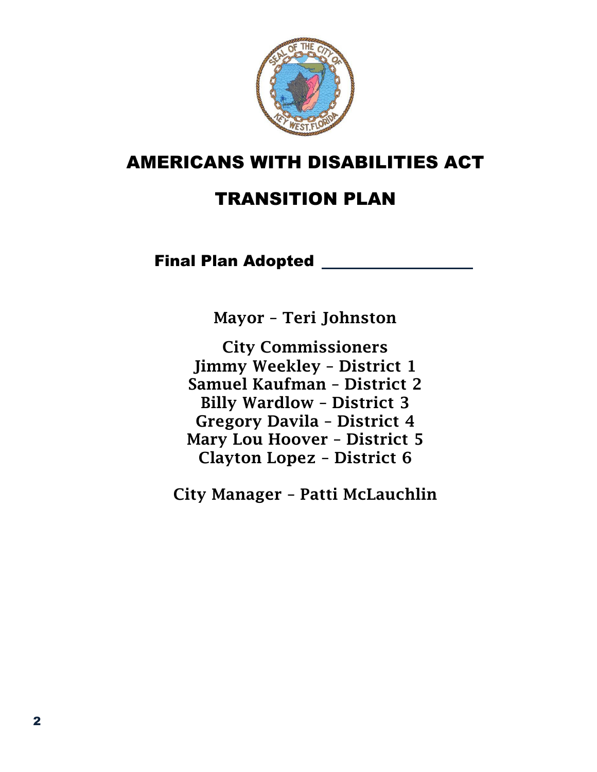

## AMERICANS WITH DISABILITIES ACT

# TRANSITION PLAN

## Final Plan Adopted \_\_\_\_\_\_\_\_\_\_\_\_

Mayor – Teri Johnston

City Commissioners Jimmy Weekley – District 1 Samuel Kaufman – District 2 Billy Wardlow – District 3 Gregory Davila – District 4 Mary Lou Hoover – District 5 Clayton Lopez – District 6

City Manager – Patti McLauchlin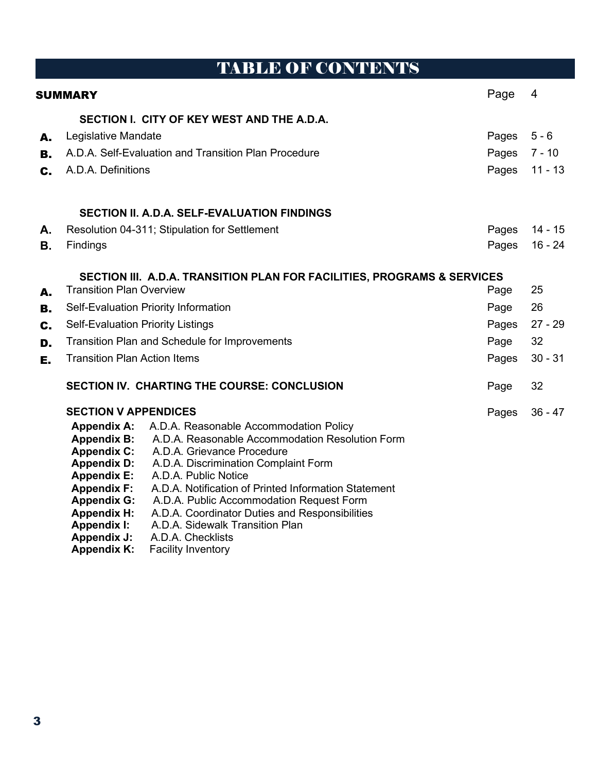# TABLE OF CONTENTS

| SUMMARY              | Page                                                                                                                                                                                                                                                                                                                                                                                                                                                                                                                                                                                                                                                             | $\overline{4}$                |                                  |
|----------------------|------------------------------------------------------------------------------------------------------------------------------------------------------------------------------------------------------------------------------------------------------------------------------------------------------------------------------------------------------------------------------------------------------------------------------------------------------------------------------------------------------------------------------------------------------------------------------------------------------------------------------------------------------------------|-------------------------------|----------------------------------|
| А.<br>В.<br>C.       | SECTION I. CITY OF KEY WEST AND THE A.D.A.<br>Legislative Mandate<br>A.D.A. Self-Evaluation and Transition Plan Procedure<br>A.D.A. Definitions                                                                                                                                                                                                                                                                                                                                                                                                                                                                                                                  | Pages<br>Pages<br>Pages       | $5 - 6$<br>$7 - 10$<br>$11 - 13$ |
| А.<br><b>B.</b>      | <b>SECTION II. A.D.A. SELF-EVALUATION FINDINGS</b><br>Resolution 04-311; Stipulation for Settlement<br>Findings                                                                                                                                                                                                                                                                                                                                                                                                                                                                                                                                                  | Pages<br>Pages                | $14 - 15$<br>$16 - 24$           |
| А.<br>В.<br>C.<br>D. | SECTION III. A.D.A. TRANSITION PLAN FOR FACILITIES, PROGRAMS & SERVICES<br><b>Transition Plan Overview</b><br>Self-Evaluation Priority Information<br><b>Self-Evaluation Priority Listings</b><br><b>Transition Plan and Schedule for Improvements</b>                                                                                                                                                                                                                                                                                                                                                                                                           | Page<br>Page<br>Pages<br>Page | 25<br>26<br>$27 - 29$<br>32      |
| Е.                   | <b>Transition Plan Action Items</b><br>SECTION IV. CHARTING THE COURSE: CONCLUSION                                                                                                                                                                                                                                                                                                                                                                                                                                                                                                                                                                               |                               | $30 - 31$<br>32                  |
|                      | <b>SECTION V APPENDICES</b><br><b>Appendix A:</b><br>A.D.A. Reasonable Accommodation Policy<br>A.D.A. Reasonable Accommodation Resolution Form<br><b>Appendix B:</b><br><b>Appendix C:</b><br>A.D.A. Grievance Procedure<br><b>Appendix D:</b><br>A.D.A. Discrimination Complaint Form<br><b>Appendix E:</b><br>A.D.A. Public Notice<br>A.D.A. Notification of Printed Information Statement<br><b>Appendix F:</b><br>A.D.A. Public Accommodation Request Form<br><b>Appendix G:</b><br><b>Appendix H:</b><br>A.D.A. Coordinator Duties and Responsibilities<br>A.D.A. Sidewalk Transition Plan<br><b>Appendix I:</b><br><b>Appendix J:</b><br>A.D.A. Checklists | Page<br>Pages                 | $36 - 47$                        |

**Appendix K:** Facility Inventory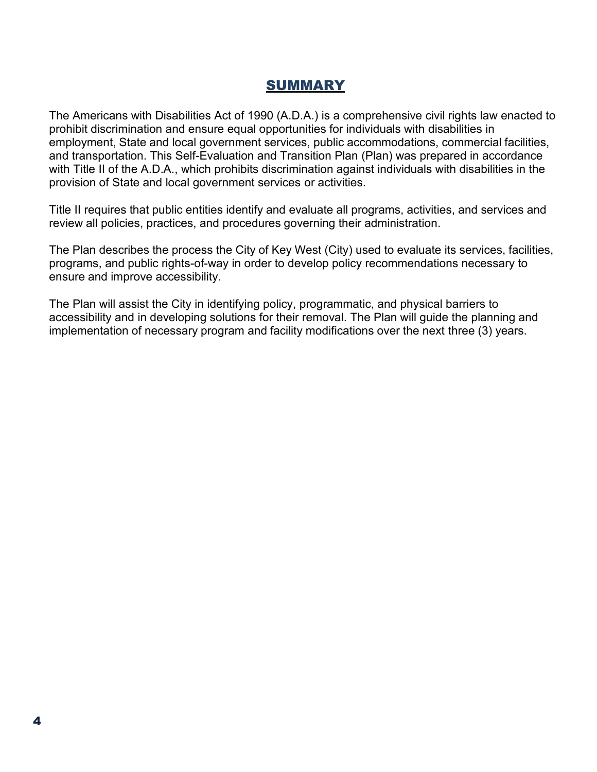### SUMMARY

The Americans with Disabilities Act of 1990 (A.D.A.) is a comprehensive civil rights law enacted to prohibit discrimination and ensure equal opportunities for individuals with disabilities in employment, State and local government services, public accommodations, commercial facilities, and transportation. This Self-Evaluation and Transition Plan (Plan) was prepared in accordance with Title II of the A.D.A., which prohibits discrimination against individuals with disabilities in the provision of State and local government services or activities.

Title II requires that public entities identify and evaluate all programs, activities, and services and review all policies, practices, and procedures governing their administration.

The Plan describes the process the City of Key West (City) used to evaluate its services, facilities, programs, and public rights-of-way in order to develop policy recommendations necessary to ensure and improve accessibility.

The Plan will assist the City in identifying policy, programmatic, and physical barriers to accessibility and in developing solutions for their removal. The Plan will guide the planning and implementation of necessary program and facility modifications over the next three (3) years.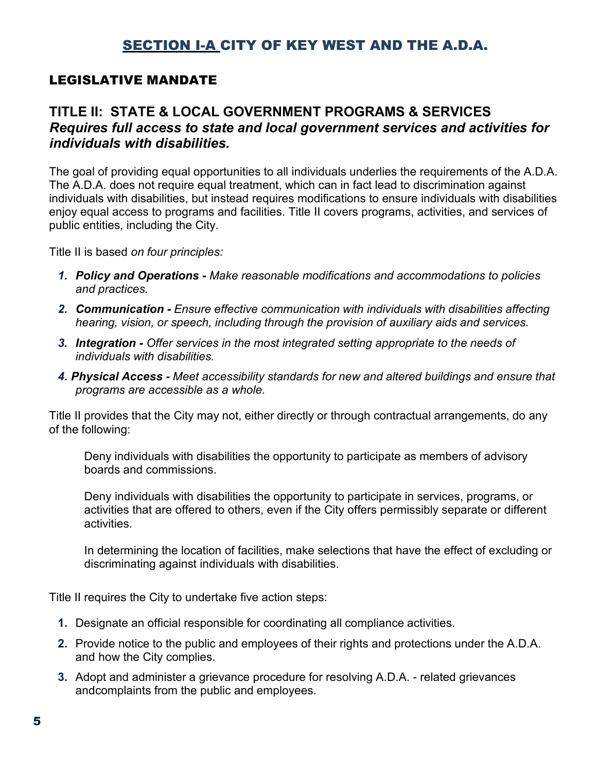## SECTION I-A CITY OF KEY WEST AND THE A.D.A.

#### LEGISLATIVE MANDATE

### **TITLE II: STATE & LOCAL GOVERNMENT PROGRAMS & SERVICES** *Requires full access to state and local government services and activities for individuals with disabilities.*

The goal of providing equal opportunities to all individuals underlies the requirements of the A.D.A. The A.D.A. does not require equal treatment, which can in fact lead to discrimination against individuals with disabilities, but instead requires modifications to ensure individuals with disabilities enjoy equal access to programs and facilities. Title II covers programs, activities, and services of public entities, including the City.

Title II is based *on four principles:*

- *1. Policy and Operations - Make reasonable modifications and accommodations to policies and practices.*
- *2. Communication - Ensure effective communication with individuals with disabilities affecting hearing, vision, or speech, including through the provision of auxiliary aids and services.*
- *3. Integration - Offer services in the most integrated setting appropriate to the needs of individuals with disabilities.*
- *4. Physical Access - Meet accessibility standards for new and altered buildings and ensure that programs are accessible as a whole.*

Title II provides that the City may not, either directly or through contractual arrangements, do any of the following:

Deny individuals with disabilities the opportunity to participate as members of advisory boards and commissions.

Deny individuals with disabilities the opportunity to participate in services, programs, or activities that are offered to others, even if the City offers permissibly separate or different activities.

In determining the location of facilities, make selections that have the effect of excluding or discriminating against individuals with disabilities.

Title II requires the City to undertake five action steps:

- **1.** Designate an official responsible for coordinating all compliance activities.
- **2.** Provide notice to the public and employees of their rights and protections under the A.D.A. and how the City complies.
- **3.** Adopt and administer a grievance procedure for resolving A.D.A. related grievances andcomplaints from the public and employees.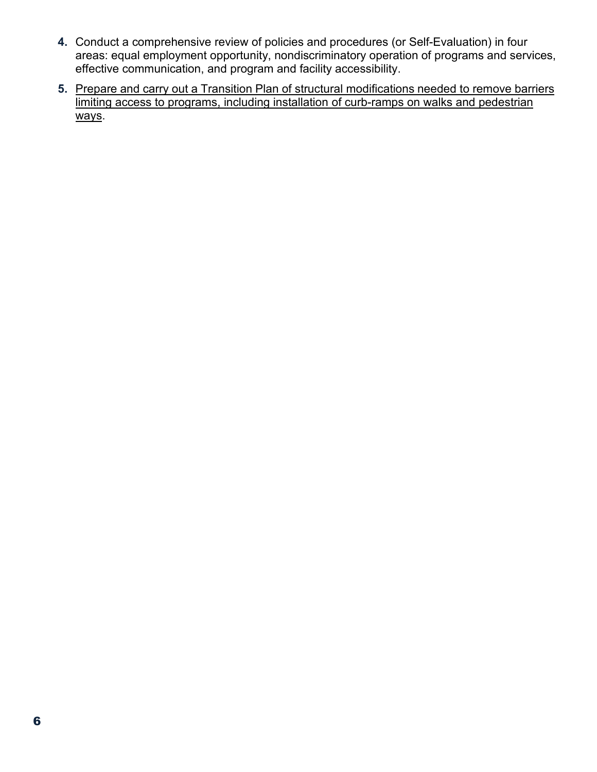- **4.** Conduct a comprehensive review of policies and procedures (or Self-Evaluation) in four areas: equal employment opportunity, nondiscriminatory operation of programs and services, effective communication, and program and facility accessibility.
- **5.** Prepare and carry out a Transition Plan of structural modifications needed to remove barriers limiting access to programs, including installation of curb-ramps on walks and pedestrian ways.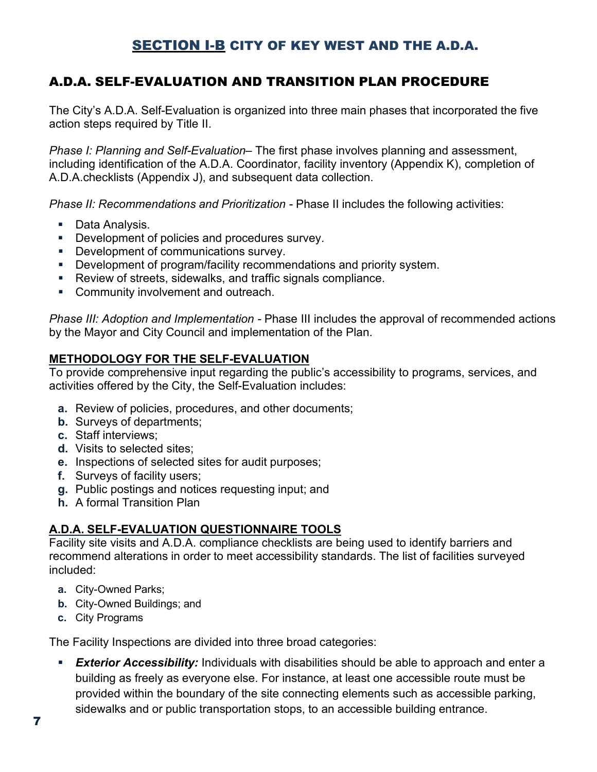## SECTION I-B CITY OF KEY WEST AND THE A.D.A.

## A.D.A. SELF-EVALUATION AND TRANSITION PLAN PROCEDURE

The City's A.D.A. Self-Evaluation is organized into three main phases that incorporated the five action steps required by Title II.

*Phase I: Planning and Self-Evaluation–* The first phase involves planning and assessment, including identification of the A.D.A. Coordinator, facility inventory (Appendix K), completion of A.D.A.checklists (Appendix J), and subsequent data collection.

*Phase II: Recommendations and Prioritization* - Phase II includes the following activities:

- **Data Analysis.**
- **Development of policies and procedures survey.**
- **Development of communications survey.**
- **Development of program/facility recommendations and priority system.**
- Review of streets, sidewalks, and traffic signals compliance.
- **Community involvement and outreach.**

*Phase III: Adoption and Implementation -* Phase III includes the approval of recommended actions by the Mayor and City Council and implementation of the Plan.

#### **METHODOLOGY FOR THE SELF-EVALUATION**

To provide comprehensive input regarding the public's accessibility to programs, services, and activities offered by the City, the Self-Evaluation includes:

- **a.** Review of policies, procedures, and other documents;
- **b.** Surveys of departments;
- **c.** Staff interviews;
- **d.** Visits to selected sites;
- **e.** Inspections of selected sites for audit purposes;
- **f.** Surveys of facility users;
- **g.** Public postings and notices requesting input; and
- **h.** A formal Transition Plan

#### **A.D.A. SELF-EVALUATION QUESTIONNAIRE TOOLS**

Facility site visits and A.D.A. compliance checklists are being used to identify barriers and recommend alterations in order to meet accessibility standards. The list of facilities surveyed included:

- **a.** City-Owned Parks;
- **b.** City-Owned Buildings; and
- **c.** City Programs

The Facility Inspections are divided into three broad categories:

 *Exterior Accessibility:* Individuals with disabilities should be able to approach and enter a building as freely as everyone else. For instance, at least one accessible route must be provided within the boundary of the site connecting elements such as accessible parking, sidewalks and or public transportation stops, to an accessible building entrance.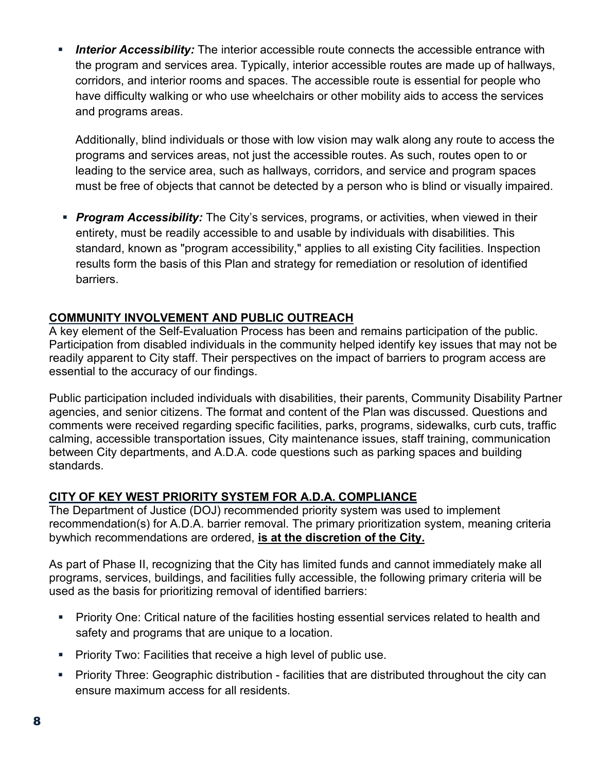**Interior Accessibility:** The interior accessible route connects the accessible entrance with the program and services area. Typically, interior accessible routes are made up of hallways, corridors, and interior rooms and spaces. The accessible route is essential for people who have difficulty walking or who use wheelchairs or other mobility aids to access the services and programs areas.

Additionally, blind individuals or those with low vision may walk along any route to access the programs and services areas, not just the accessible routes. As such, routes open to or leading to the service area, such as hallways, corridors, and service and program spaces must be free of objects that cannot be detected by a person who is blind or visually impaired.

**Program Accessibility:** The City's services, programs, or activities, when viewed in their entirety, must be readily accessible to and usable by individuals with disabilities. This standard, known as "program accessibility," applies to all existing City facilities. Inspection results form the basis of this Plan and strategy for remediation or resolution of identified barriers.

#### **COMMUNITY INVOLVEMENT AND PUBLIC OUTREACH**

A key element of the Self-Evaluation Process has been and remains participation of the public. Participation from disabled individuals in the community helped identify key issues that may not be readily apparent to City staff. Their perspectives on the impact of barriers to program access are essential to the accuracy of our findings.

Public participation included individuals with disabilities, their parents, Community Disability Partner agencies, and senior citizens. The format and content of the Plan was discussed. Questions and comments were received regarding specific facilities, parks, programs, sidewalks, curb cuts, traffic calming, accessible transportation issues, City maintenance issues, staff training, communication between City departments, and A.D.A. code questions such as parking spaces and building standards.

#### **CITY OF KEY WEST PRIORITY SYSTEM FOR A.D.A. COMPLIANCE**

The Department of Justice (DOJ) recommended priority system was used to implement recommendation(s) for A.D.A. barrier removal. The primary prioritization system, meaning criteria bywhich recommendations are ordered, **is at the discretion of the City.**

As part of Phase II, recognizing that the City has limited funds and cannot immediately make all programs, services, buildings, and facilities fully accessible, the following primary criteria will be used as the basis for prioritizing removal of identified barriers:

- Priority One: Critical nature of the facilities hosting essential services related to health and safety and programs that are unique to a location.
- **Priority Two: Facilities that receive a high level of public use.**
- **Priority Three: Geographic distribution facilities that are distributed throughout the city can** ensure maximum access for all residents.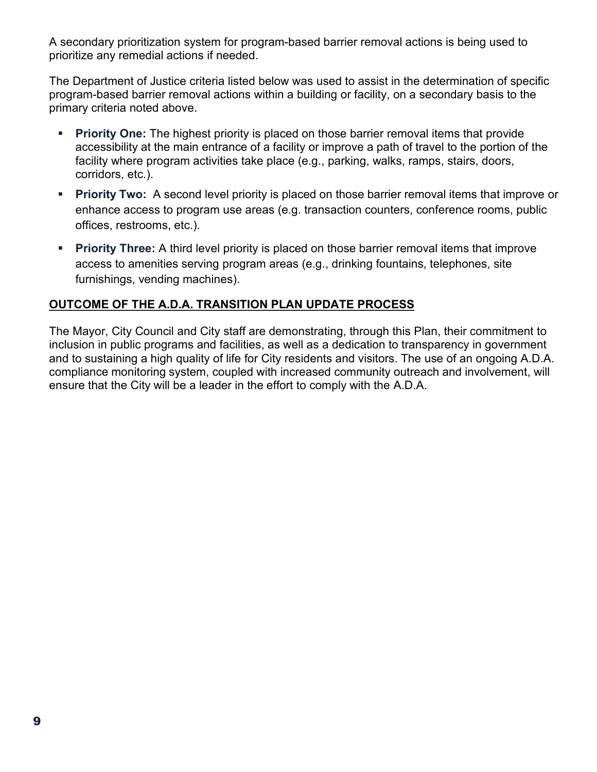A secondary prioritization system for program-based barrier removal actions is being used to prioritize any remedial actions if needed.

The Department of Justice criteria listed below was used to assist in the determination of specific program-based barrier removal actions within a building or facility, on a secondary basis to the primary criteria noted above.

- **Priority One:** The highest priority is placed on those barrier removal items that provide accessibility at the main entrance of a facility or improve a path of travel to the portion of the facility where program activities take place (e.g., parking, walks, ramps, stairs, doors, corridors, etc.).
- **Priority Two:** A second level priority is placed on those barrier removal items that improve or enhance access to program use areas (e.g. transaction counters, conference rooms, public offices, restrooms, etc.).
- **Priority Three:** A third level priority is placed on those barrier removal items that improve access to amenities serving program areas (e.g., drinking fountains, telephones, site furnishings, vending machines).

#### **OUTCOME OF THE A.D.A. TRANSITION PLAN UPDATE PROCESS**

The Mayor, City Council and City staff are demonstrating, through this Plan, their commitment to inclusion in public programs and facilities, as well as a dedication to transparency in government and to sustaining a high quality of life for City residents and visitors. The use of an ongoing A.D.A. compliance monitoring system, coupled with increased community outreach and involvement, will ensure that the City will be a leader in the effort to comply with the A.D.A.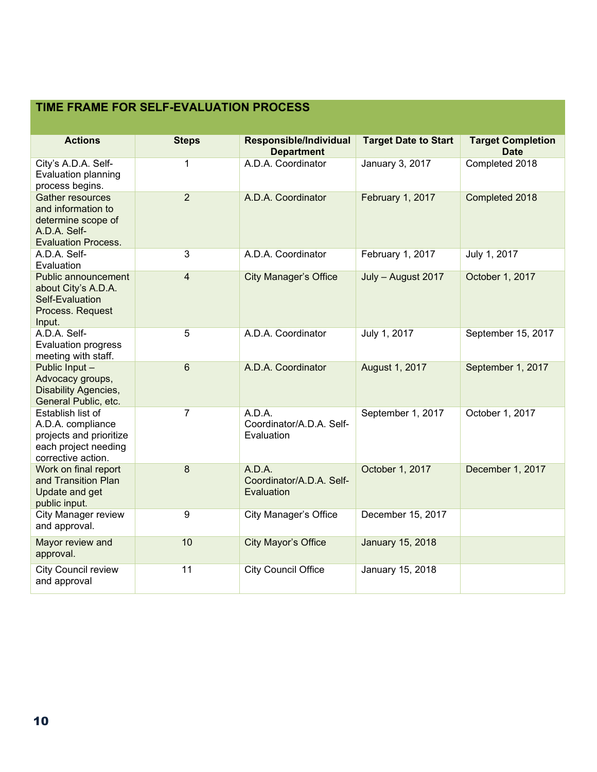#### **TIME FRAME FOR SELF-EVALUATION PROCESS**

| <b>Actions</b>                                                                                                    | <b>Steps</b>   | Responsible/Individual<br><b>Department</b>      | <b>Target Date to Start</b> | <b>Target Completion</b><br><b>Date</b> |
|-------------------------------------------------------------------------------------------------------------------|----------------|--------------------------------------------------|-----------------------------|-----------------------------------------|
| City's A.D.A. Self-<br>Evaluation planning<br>process begins.                                                     | 1              | A.D.A. Coordinator                               | January 3, 2017             | Completed 2018                          |
| <b>Gather resources</b><br>and information to<br>determine scope of<br>A.D.A. Self-<br><b>Evaluation Process.</b> | $\overline{2}$ | A.D.A. Coordinator                               | February 1, 2017            | Completed 2018                          |
| A.D.A. Self-<br>Evaluation                                                                                        | 3              | A.D.A. Coordinator                               | February 1, 2017            | July 1, 2017                            |
| Public announcement<br>about City's A.D.A.<br>Self-Evaluation<br>Process. Request<br>Input.                       | $\overline{4}$ | <b>City Manager's Office</b>                     | July - August 2017          | October 1, 2017                         |
| A.D.A. Self-<br><b>Evaluation progress</b><br>meeting with staff.                                                 | 5              | A.D.A. Coordinator                               | July 1, 2017                | September 15, 2017                      |
| Public Input -<br>Advocacy groups,<br><b>Disability Agencies,</b><br>General Public, etc.                         | $6\phantom{1}$ | A.D.A. Coordinator                               | August 1, 2017              | September 1, 2017                       |
| Establish list of<br>A.D.A. compliance<br>projects and prioritize<br>each project needing<br>corrective action.   | $\overline{7}$ | A.D.A.<br>Coordinator/A.D.A. Self-<br>Evaluation | September 1, 2017           | October 1, 2017                         |
| Work on final report<br>and Transition Plan<br>Update and get<br>public input.                                    | 8              | A.D.A.<br>Coordinator/A.D.A. Self-<br>Evaluation | October 1, 2017             | December 1, 2017                        |
| <b>City Manager review</b><br>and approval.                                                                       | 9              | <b>City Manager's Office</b>                     | December 15, 2017           |                                         |
| Mayor review and<br>approval.                                                                                     | 10             | <b>City Mayor's Office</b>                       | <b>January 15, 2018</b>     |                                         |
| <b>City Council review</b><br>and approval                                                                        | 11             | <b>City Council Office</b>                       | January 15, 2018            |                                         |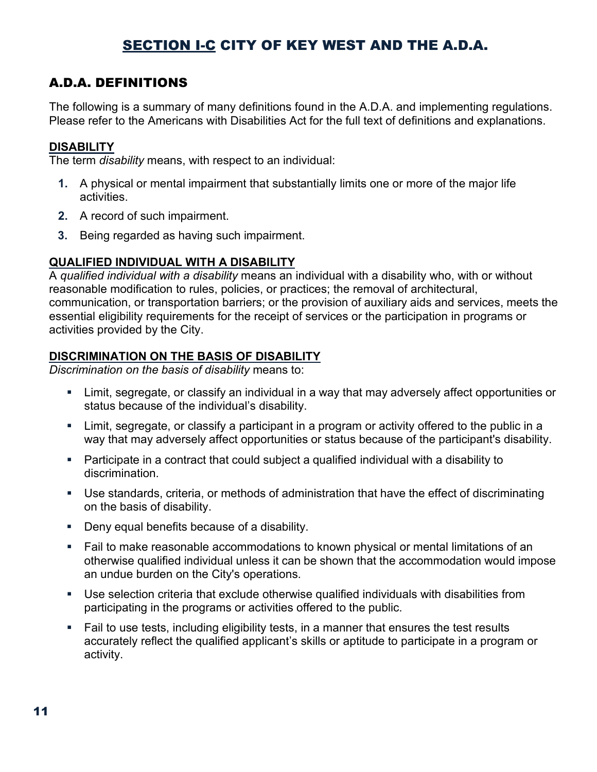## SECTION I-C CITY OF KEY WEST AND THE A.D.A.

### A.D.A. DEFINITIONS

The following is a summary of many definitions found in the A.D.A. and implementing regulations. Please refer to the Americans with Disabilities Act for the full text of definitions and explanations.

#### **DISABILITY**

The term *disability* means, with respect to an individual:

- **1.** A physical or mental impairment that substantially limits one or more of the major life activities.
- **2.** A record of such impairment.
- **3.** Being regarded as having such impairment.

#### **QUALIFIED INDIVIDUAL WITH A DISABILITY**

A *qualified individual with a disability* means an individual with a disability who, with or without reasonable modification to rules, policies, or practices; the removal of architectural, communication, or transportation barriers; or the provision of auxiliary aids and services, meets the essential eligibility requirements for the receipt of services or the participation in programs or activities provided by the City.

#### **DISCRIMINATION ON THE BASIS OF DISABILITY**

*Discrimination on the basis of disability* means to:

- Limit, segregate, or classify an individual in a way that may adversely affect opportunities or status because of the individual's disability.
- Limit, segregate, or classify a participant in a program or activity offered to the public in a way that may adversely affect opportunities or status because of the participant's disability.
- Participate in a contract that could subject a qualified individual with a disability to discrimination.
- Use standards, criteria, or methods of administration that have the effect of discriminating on the basis of disability.
- **Deny equal benefits because of a disability.**
- Fail to make reasonable accommodations to known physical or mental limitations of an otherwise qualified individual unless it can be shown that the accommodation would impose an undue burden on the City's operations.
- Use selection criteria that exclude otherwise qualified individuals with disabilities from participating in the programs or activities offered to the public.
- Fail to use tests, including eligibility tests, in a manner that ensures the test results accurately reflect the qualified applicant's skills or aptitude to participate in a program or activity.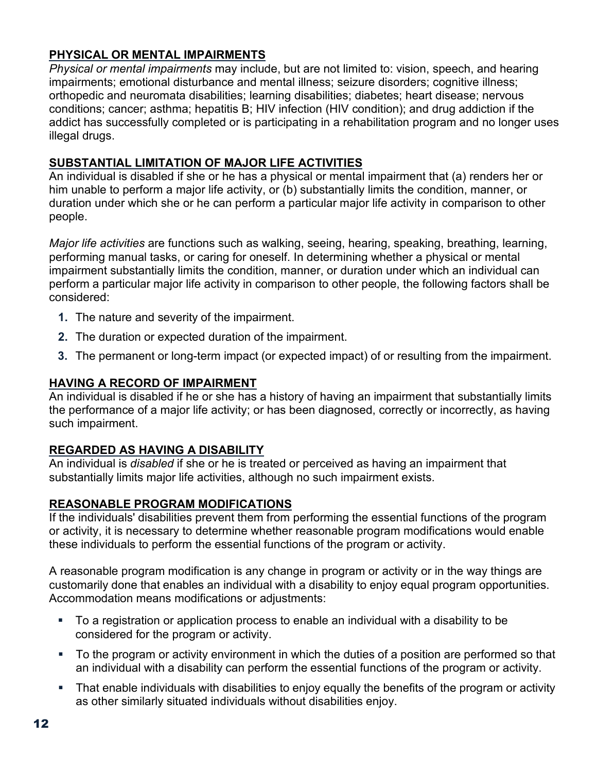#### **PHYSICAL OR MENTAL IMPAIRMENTS**

*Physical or mental impairments* may include, but are not limited to: vision, speech, and hearing impairments; emotional disturbance and mental illness; seizure disorders; cognitive illness; orthopedic and neuromata disabilities; learning disabilities; diabetes; heart disease; nervous conditions; cancer; asthma; hepatitis B; HIV infection (HIV condition); and drug addiction if the addict has successfully completed or is participating in a rehabilitation program and no longer uses illegal drugs.

#### **SUBSTANTIAL LIMITATION OF MAJOR LIFE ACTIVITIES**

An individual is disabled if she or he has a physical or mental impairment that (a) renders her or him unable to perform a major life activity, or (b) substantially limits the condition, manner, or duration under which she or he can perform a particular major life activity in comparison to other people.

*Major life activities* are functions such as walking, seeing, hearing, speaking, breathing, learning, performing manual tasks, or caring for oneself. In determining whether a physical or mental impairment substantially limits the condition, manner, or duration under which an individual can perform a particular major life activity in comparison to other people, the following factors shall be considered:

- **1.** The nature and severity of the impairment.
- **2.** The duration or expected duration of the impairment.
- **3.** The permanent or long-term impact (or expected impact) of or resulting from the impairment.

#### **HAVING A RECORD OF IMPAIRMENT**

An individual is disabled if he or she has a history of having an impairment that substantially limits the performance of a major life activity; or has been diagnosed, correctly or incorrectly, as having such impairment.

#### **REGARDED AS HAVING A DISABILITY**

An individual is *disabled* if she or he is treated or perceived as having an impairment that substantially limits major life activities, although no such impairment exists.

#### **REASONABLE PROGRAM MODIFICATIONS**

If the individuals' disabilities prevent them from performing the essential functions of the program or activity, it is necessary to determine whether reasonable program modifications would enable these individuals to perform the essential functions of the program or activity.

A reasonable program modification is any change in program or activity or in the way things are customarily done that enables an individual with a disability to enjoy equal program opportunities. Accommodation means modifications or adjustments:

- To a registration or application process to enable an individual with a disability to be considered for the program or activity.
- To the program or activity environment in which the duties of a position are performed so that an individual with a disability can perform the essential functions of the program or activity.
- That enable individuals with disabilities to enjoy equally the benefits of the program or activity as other similarly situated individuals without disabilities enjoy.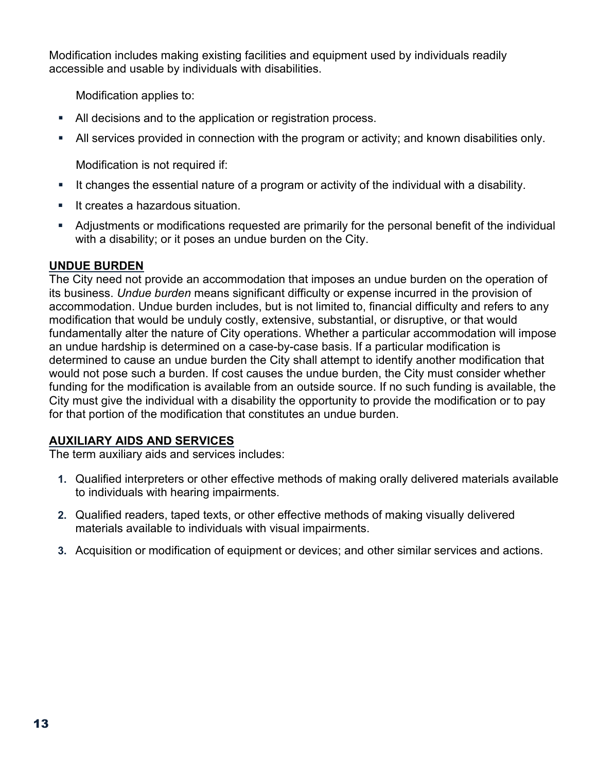Modification includes making existing facilities and equipment used by individuals readily accessible and usable by individuals with disabilities.

Modification applies to:

- All decisions and to the application or registration process.
- All services provided in connection with the program or activity; and known disabilities only.

Modification is not required if:

- It changes the essential nature of a program or activity of the individual with a disability.
- **It creates a hazardous situation.**
- Adjustments or modifications requested are primarily for the personal benefit of the individual with a disability; or it poses an undue burden on the City.

#### **UNDUE BURDEN**

The City need not provide an accommodation that imposes an undue burden on the operation of its business. *Undue burden* means significant difficulty or expense incurred in the provision of accommodation. Undue burden includes, but is not limited to, financial difficulty and refers to any modification that would be unduly costly, extensive, substantial, or disruptive, or that would fundamentally alter the nature of City operations. Whether a particular accommodation will impose an undue hardship is determined on a case-by-case basis. If a particular modification is determined to cause an undue burden the City shall attempt to identify another modification that would not pose such a burden. If cost causes the undue burden, the City must consider whether funding for the modification is available from an outside source. If no such funding is available, the City must give the individual with a disability the opportunity to provide the modification or to pay for that portion of the modification that constitutes an undue burden.

#### **AUXILIARY AIDS AND SERVICES**

The term auxiliary aids and services includes:

- **1.** Qualified interpreters or other effective methods of making orally delivered materials available to individuals with hearing impairments.
- **2.** Qualified readers, taped texts, or other effective methods of making visually delivered materials available to individuals with visual impairments.
- **3.** Acquisition or modification of equipment or devices; and other similar services and actions.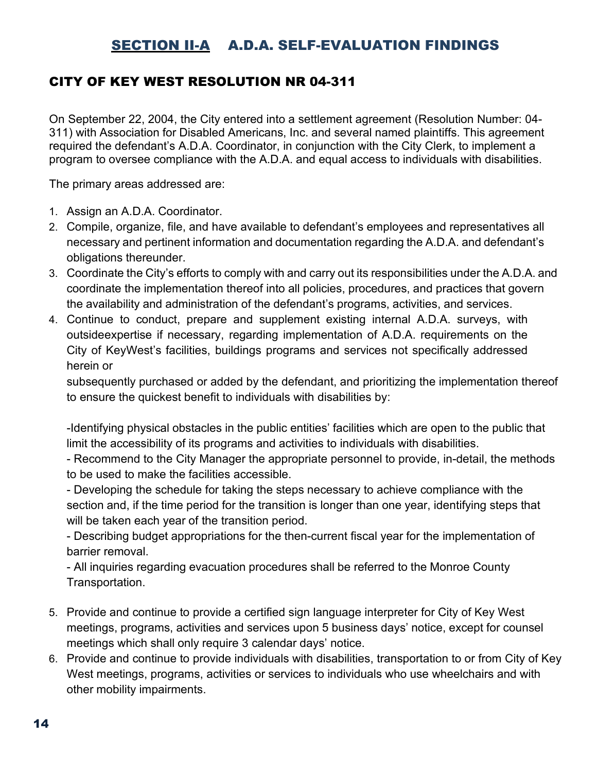## SECTION II-A A.D.A. SELF-EVALUATION FINDINGS

### CITY OF KEY WEST RESOLUTION NR 04-311

On September 22, 2004, the City entered into a settlement agreement (Resolution Number: 04- 311) with Association for Disabled Americans, Inc. and several named plaintiffs. This agreement required the defendant's A.D.A. Coordinator, in conjunction with the City Clerk, to implement a program to oversee compliance with the A.D.A. and equal access to individuals with disabilities.

The primary areas addressed are:

- 1. Assign an A.D.A. Coordinator.
- 2. Compile, organize, file, and have available to defendant's employees and representatives all necessary and pertinent information and documentation regarding the A.D.A. and defendant's obligations thereunder.
- 3. Coordinate the City's efforts to comply with and carry out its responsibilities under the A.D.A. and coordinate the implementation thereof into all policies, procedures, and practices that govern the availability and administration of the defendant's programs, activities, and services.
- 4. Continue to conduct, prepare and supplement existing internal A.D.A. surveys, with outsideexpertise if necessary, regarding implementation of A.D.A. requirements on the City of KeyWest's facilities, buildings programs and services not specifically addressed herein or

subsequently purchased or added by the defendant, and prioritizing the implementation thereof to ensure the quickest benefit to individuals with disabilities by:

-Identifying physical obstacles in the public entities' facilities which are open to the public that limit the accessibility of its programs and activities to individuals with disabilities.

- Recommend to the City Manager the appropriate personnel to provide, in-detail, the methods to be used to make the facilities accessible.

- Developing the schedule for taking the steps necessary to achieve compliance with the section and, if the time period for the transition is longer than one year, identifying steps that will be taken each year of the transition period.

- Describing budget appropriations for the then-current fiscal year for the implementation of barrier removal.

- All inquiries regarding evacuation procedures shall be referred to the Monroe County Transportation.

- 5. Provide and continue to provide a certified sign language interpreter for City of Key West meetings, programs, activities and services upon 5 business days' notice, except for counsel meetings which shall only require 3 calendar days' notice.
- 6. Provide and continue to provide individuals with disabilities, transportation to or from City of Key West meetings, programs, activities or services to individuals who use wheelchairs and with other mobility impairments.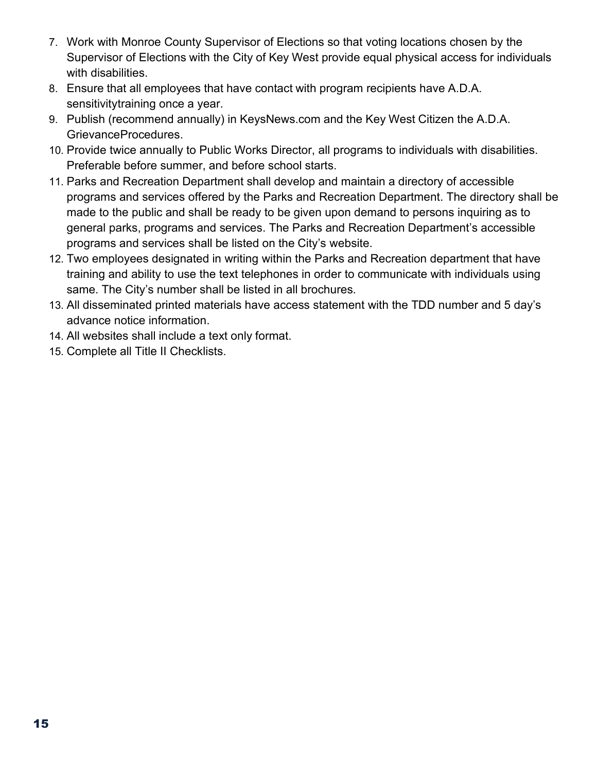- 7. Work with Monroe County Supervisor of Elections so that voting locations chosen by the Supervisor of Elections with the City of Key West provide equal physical access for individuals with disabilities.
- 8. Ensure that all employees that have contact with program recipients have A.D.A. sensitivitytraining once a year.
- 9. Publish (recommend annually) in KeysNews.com and the Key West Citizen the A.D.A. GrievanceProcedures.
- 10. Provide twice annually to Public Works Director, all programs to individuals with disabilities. Preferable before summer, and before school starts.
- 11. Parks and Recreation Department shall develop and maintain a directory of accessible programs and services offered by the Parks and Recreation Department. The directory shall be made to the public and shall be ready to be given upon demand to persons inquiring as to general parks, programs and services. The Parks and Recreation Department's accessible programs and services shall be listed on the City's website.
- 12. Two employees designated in writing within the Parks and Recreation department that have training and ability to use the text telephones in order to communicate with individuals using same. The City's number shall be listed in all brochures.
- 13. All disseminated printed materials have access statement with the TDD number and 5 day's advance notice information.
- 14. All websites shall include a text only format.
- 15. Complete all Title II Checklists.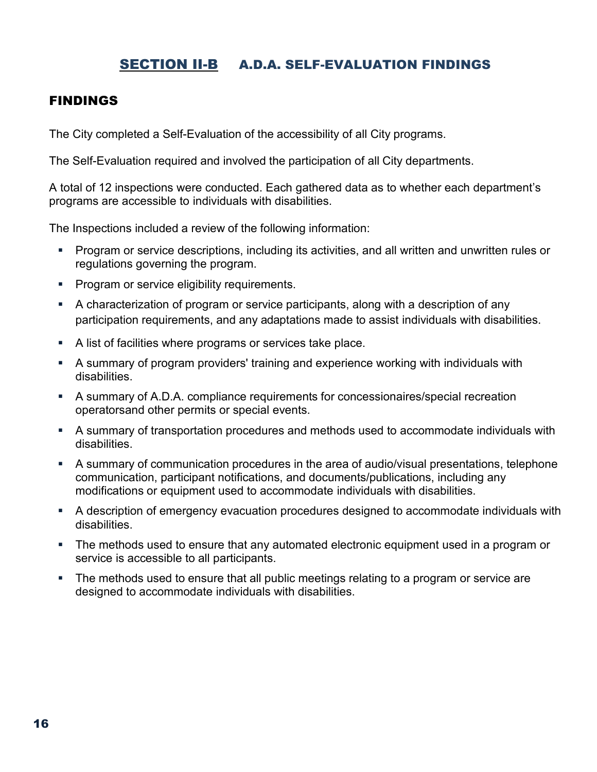## SECTION II-B A.D.A. SELF-EVALUATION FINDINGS

#### FINDINGS

The City completed a Self-Evaluation of the accessibility of all City programs.

The Self-Evaluation required and involved the participation of all City departments.

A total of 12 inspections were conducted. Each gathered data as to whether each department's programs are accessible to individuals with disabilities.

The Inspections included a review of the following information:

- Program or service descriptions, including its activities, and all written and unwritten rules or regulations governing the program.
- **Program or service eligibility requirements.**
- A characterization of program or service participants, along with a description of any participation requirements, and any adaptations made to assist individuals with disabilities.
- A list of facilities where programs or services take place.
- A summary of program providers' training and experience working with individuals with disabilities.
- A summary of A.D.A. compliance requirements for concessionaires/special recreation operatorsand other permits or special events.
- A summary of transportation procedures and methods used to accommodate individuals with disabilities.
- A summary of communication procedures in the area of audio/visual presentations, telephone communication, participant notifications, and documents/publications, including any modifications or equipment used to accommodate individuals with disabilities.
- A description of emergency evacuation procedures designed to accommodate individuals with disabilities.
- The methods used to ensure that any automated electronic equipment used in a program or service is accessible to all participants.
- **The methods used to ensure that all public meetings relating to a program or service are** designed to accommodate individuals with disabilities.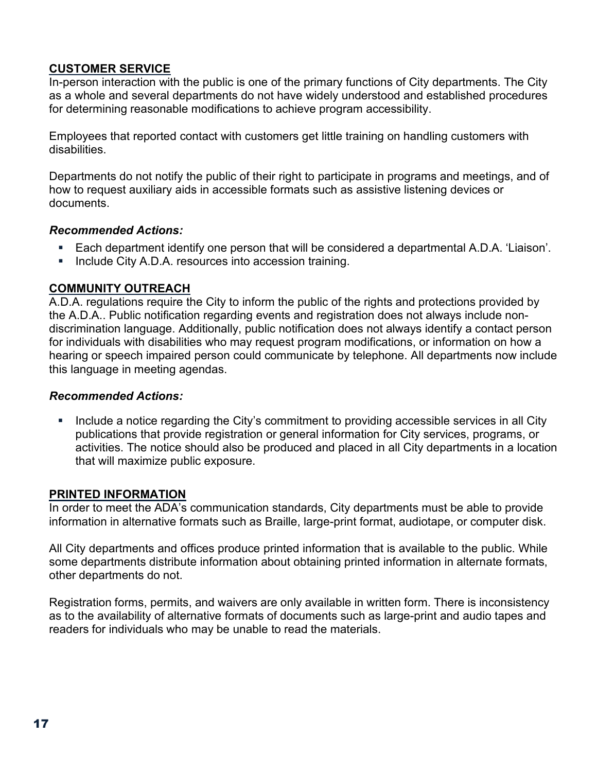#### **CUSTOMER SERVICE**

In-person interaction with the public is one of the primary functions of City departments. The City as a whole and several departments do not have widely understood and established procedures for determining reasonable modifications to achieve program accessibility.

Employees that reported contact with customers get little training on handling customers with disabilities.

Departments do not notify the public of their right to participate in programs and meetings, and of how to request auxiliary aids in accessible formats such as assistive listening devices or documents.

#### *Recommended Actions:*

- Each department identify one person that will be considered a departmental A.D.A. 'Liaison'.
- **Include City A.D.A. resources into accession training.**

#### **COMMUNITY OUTREACH**

A.D.A. regulations require the City to inform the public of the rights and protections provided by the A.D.A.. Public notification regarding events and registration does not always include nondiscrimination language. Additionally, public notification does not always identify a contact person for individuals with disabilities who may request program modifications, or information on how a hearing or speech impaired person could communicate by telephone. All departments now include this language in meeting agendas.

#### *Recommended Actions:*

• Include a notice regarding the City's commitment to providing accessible services in all City publications that provide registration or general information for City services, programs, or activities. The notice should also be produced and placed in all City departments in a location that will maximize public exposure.

#### **PRINTED INFORMATION**

In order to meet the ADA's communication standards, City departments must be able to provide information in alternative formats such as Braille, large-print format, audiotape, or computer disk.

All City departments and offices produce printed information that is available to the public. While some departments distribute information about obtaining printed information in alternate formats, other departments do not.

Registration forms, permits, and waivers are only available in written form. There is inconsistency as to the availability of alternative formats of documents such as large-print and audio tapes and readers for individuals who may be unable to read the materials.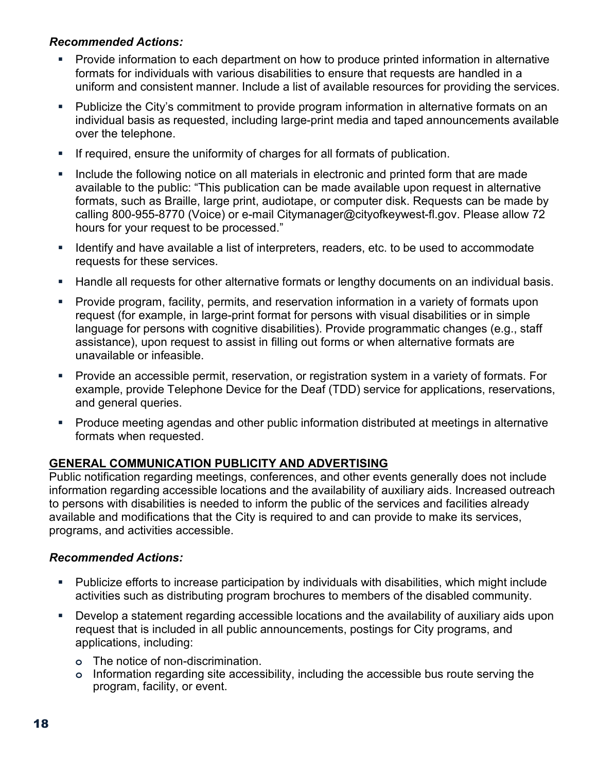#### *Recommended Actions:*

- Provide information to each department on how to produce printed information in alternative formats for individuals with various disabilities to ensure that requests are handled in a uniform and consistent manner. Include a list of available resources for providing the services.
- Publicize the City's commitment to provide program information in alternative formats on an individual basis as requested, including large-print media and taped announcements available over the telephone.
- If required, ensure the uniformity of charges for all formats of publication.
- **Include the following notice on all materials in electronic and printed form that are made** available to the public: "This publication can be made available upon request in alternative formats, such as Braille, large print, audiotape, or computer disk. Requests can be made by calling 800-955-8770 (Voice) or e-mail [Citymanager@cityofkeywest-fl.gov. P](mailto:tstoughton@cityofkeywest-fl.gov)lease allow 72 hours for your request to be processed."
- **If all identify and have available a list of interpreters, readers, etc. to be used to accommodate** requests for these services.
- **Handle all requests for other alternative formats or lengthy documents on an individual basis.**
- Provide program, facility, permits, and reservation information in a variety of formats upon request (for example, in large-print format for persons with visual disabilities or in simple language for persons with cognitive disabilities). Provide programmatic changes (e.g., staff assistance), upon request to assist in filling out forms or when alternative formats are unavailable or infeasible.
- Provide an accessible permit, reservation, or registration system in a variety of formats. For example, provide Telephone Device for the Deaf (TDD) service for applications, reservations, and general queries.
- Produce meeting agendas and other public information distributed at meetings in alternative formats when requested.

#### **GENERAL COMMUNICATION PUBLICITY AND ADVERTISING**

Public notification regarding meetings, conferences, and other events generally does not include information regarding accessible locations and the availability of auxiliary aids. Increased outreach to persons with disabilities is needed to inform the public of the services and facilities already available and modifications that the City is required to and can provide to make its services, programs, and activities accessible.

#### *Recommended Actions:*

- Publicize efforts to increase participation by individuals with disabilities, which might include activities such as distributing program brochures to members of the disabled community.
- Develop a statement regarding accessible locations and the availability of auxiliary aids upon request that is included in all public announcements, postings for City programs, and applications, including:
	- **o** The notice of non-discrimination.
	- **o** Information regarding site accessibility, including the accessible bus route serving the program, facility, or event.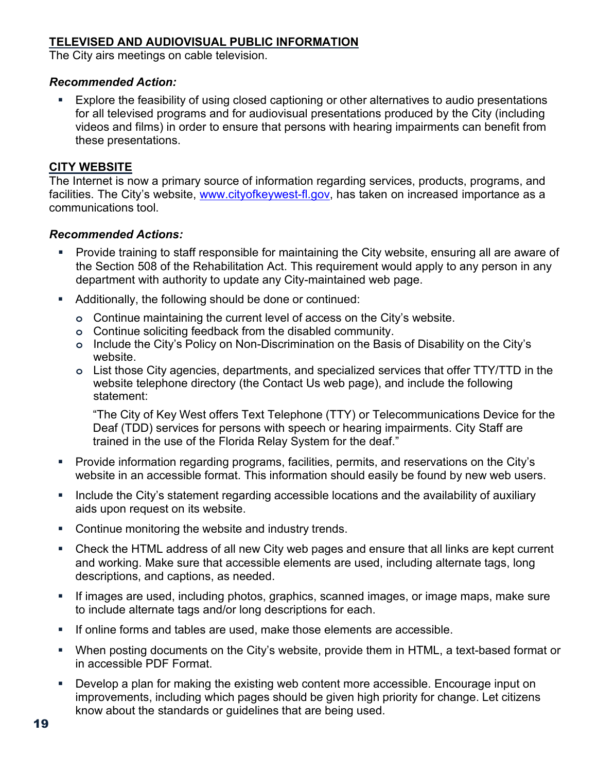#### **TELEVISED AND AUDIOVISUAL PUBLIC INFORMATION**

The City airs meetings on cable television.

#### *Recommended Action:*

 Explore the feasibility of using closed captioning or other alternatives to audio presentations for all televised programs and for audiovisual presentations produced by the City (including videos and films) in order to ensure that persons with hearing impairments can benefit from these presentations.

#### **CITY WEBSITE**

The Internet is now a primary source of information regarding services, products, programs, and facilities. The City's website, [www.cityofkeywest-fl.gov,](http://www.cityofkeywest-fl.gov/) has taken on increased importance as a communications tool.

#### *Recommended Actions:*

- Provide training to staff responsible for maintaining the City website, ensuring all are aware of the Section 508 of the Rehabilitation Act. This requirement would apply to any person in any department with authority to update any City-maintained web page.
- Additionally, the following should be done or continued:
	- **o** Continue maintaining the current level of access on the City's website.
	- **o** Continue soliciting feedback from the disabled community.
	- **o** Include the City's Policy on Non-Discrimination on the Basis of Disability on the City's website.
	- **o** List those City agencies, departments, and specialized services that offer TTY/TTD in the website telephone directory (the Contact Us web page), and include the following statement:

"The City of Key West offers Text Telephone (TTY) or Telecommunications Device for the Deaf (TDD) services for persons with speech or hearing impairments. City Staff are trained in the use of the Florida Relay System for the deaf."

- Provide information regarding programs, facilities, permits, and reservations on the City's website in an accessible format. This information should easily be found by new web users.
- **Include the City's statement regarding accessible locations and the availability of auxiliary** aids upon request on its website.
- **Continue monitoring the website and industry trends.**
- Check the HTML address of all new City web pages and ensure that all links are kept current and working. Make sure that accessible elements are used, including alternate tags, long descriptions, and captions, as needed.
- If images are used, including photos, graphics, scanned images, or image maps, make sure to include alternate tags and/or long descriptions for each.
- **If online forms and tables are used, make those elements are accessible.**
- When posting documents on the City's website, provide them in HTML, a text-based format or in accessible PDF Format.
- Develop a plan for making the existing web content more accessible. Encourage input on improvements, including which pages should be given high priority for change. Let citizens know about the standards or guidelines that are being used.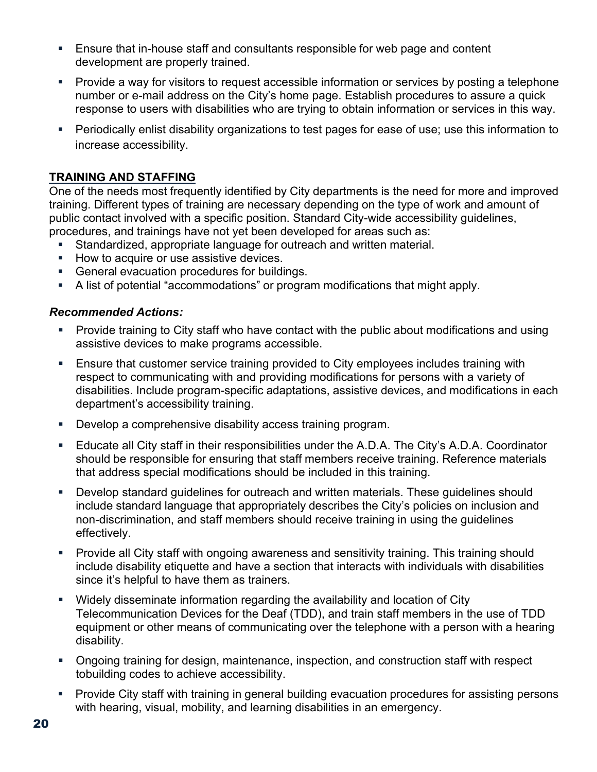- Ensure that in-house staff and consultants responsible for web page and content development are properly trained.
- Provide a way for visitors to request accessible information or services by posting a telephone number or e-mail address on the City's home page. Establish procedures to assure a quick response to users with disabilities who are trying to obtain information or services in this way.
- Periodically enlist disability organizations to test pages for ease of use; use this information to increase accessibility.

#### **TRAINING AND STAFFING**

One of the needs most frequently identified by City departments is the need for more and improved training. Different types of training are necessary depending on the type of work and amount of public contact involved with a specific position. Standard City-wide accessibility guidelines, procedures, and trainings have not yet been developed for areas such as:

- Standardized, appropriate language for outreach and written material.
- How to acquire or use assistive devices.
- General evacuation procedures for buildings.
- A list of potential "accommodations" or program modifications that might apply.

#### *Recommended Actions:*

- Provide training to City staff who have contact with the public about modifications and using assistive devices to make programs accessible.
- Ensure that customer service training provided to City employees includes training with respect to communicating with and providing modifications for persons with a variety of disabilities. Include program-specific adaptations, assistive devices, and modifications in each department's accessibility training.
- **Develop a comprehensive disability access training program.**
- Educate all City staff in their responsibilities under the A.D.A. The City's A.D.A. Coordinator should be responsible for ensuring that staff members receive training. Reference materials that address special modifications should be included in this training.
- Develop standard guidelines for outreach and written materials. These guidelines should include standard language that appropriately describes the City's policies on inclusion and non-discrimination, and staff members should receive training in using the guidelines effectively.
- Provide all City staff with ongoing awareness and sensitivity training. This training should include disability etiquette and have a section that interacts with individuals with disabilities since it's helpful to have them as trainers.
- Widely disseminate information regarding the availability and location of City Telecommunication Devices for the Deaf (TDD), and train staff members in the use of TDD equipment or other means of communicating over the telephone with a person with a hearing disability.
- Ongoing training for design, maintenance, inspection, and construction staff with respect tobuilding codes to achieve accessibility.
- **Provide City staff with training in general building evacuation procedures for assisting persons** with hearing, visual, mobility, and learning disabilities in an emergency.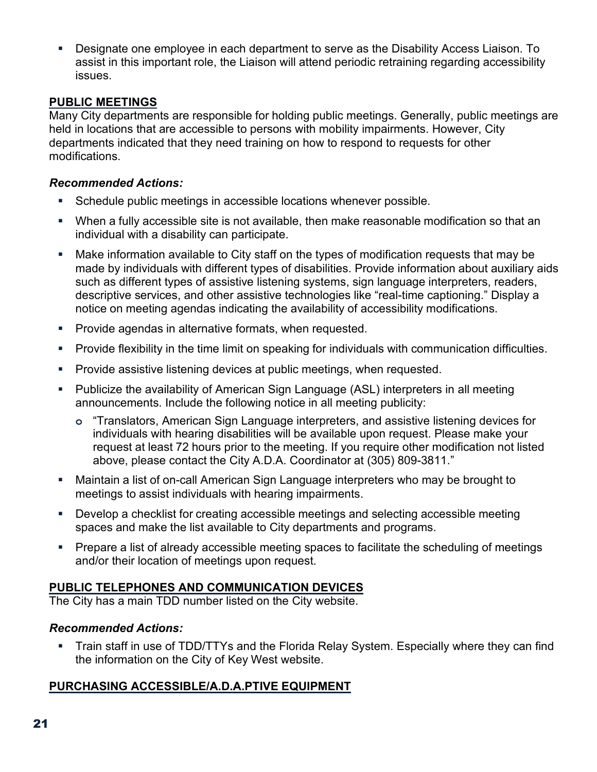Designate one employee in each department to serve as the Disability Access Liaison. To assist in this important role, the Liaison will attend periodic retraining regarding accessibility issues.

#### **PUBLIC MEETINGS**

Many City departments are responsible for holding public meetings. Generally, public meetings are held in locations that are accessible to persons with mobility impairments. However, City departments indicated that they need training on how to respond to requests for other modifications.

#### *Recommended Actions:*

- Schedule public meetings in accessible locations whenever possible.
- When a fully accessible site is not available, then make reasonable modification so that an individual with a disability can participate.
- Make information available to City staff on the types of modification requests that may be made by individuals with different types of disabilities. Provide information about auxiliary aids such as different types of assistive listening systems, sign language interpreters, readers, descriptive services, and other assistive technologies like "real-time captioning." Display a notice on meeting agendas indicating the availability of accessibility modifications.
- **Provide agendas in alternative formats, when requested.**
- Provide flexibility in the time limit on speaking for individuals with communication difficulties.
- **Provide assistive listening devices at public meetings, when requested.**
- Publicize the availability of American Sign Language (ASL) interpreters in all meeting announcements. Include the following notice in all meeting publicity:
	- **o** "Translators, American Sign Language interpreters, and assistive listening devices for individuals with hearing disabilities will be available upon request. Please make your request at least 72 hours prior to the meeting. If you require other modification not listed above, please contact the City A.D.A. Coordinator at (305) 809-3811."
- Maintain a list of on-call American Sign Language interpreters who may be brought to meetings to assist individuals with hearing impairments.
- Develop a checklist for creating accessible meetings and selecting accessible meeting spaces and make the list available to City departments and programs.
- Prepare a list of already accessible meeting spaces to facilitate the scheduling of meetings and/or their location of meetings upon request.

#### **PUBLIC TELEPHONES AND COMMUNICATION DEVICES**

The City has a main TDD number listed on the City website.

#### *Recommended Actions:*

 Train staff in use of TDD/TTYs and the Florida Relay System. Especially where they can find the information on the City of Key West website.

#### **PURCHASING ACCESSIBLE/A.D.A.PTIVE EQUIPMENT**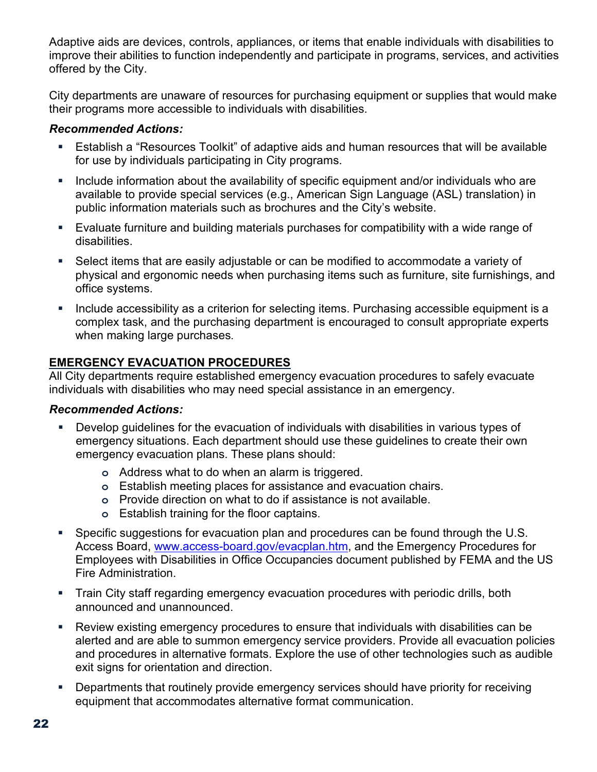Adaptive aids are devices, controls, appliances, or items that enable individuals with disabilities to improve their abilities to function independently and participate in programs, services, and activities offered by the City.

City departments are unaware of resources for purchasing equipment or supplies that would make their programs more accessible to individuals with disabilities.

#### *Recommended Actions:*

- Establish a "Resources Toolkit" of adaptive aids and human resources that will be available for use by individuals participating in City programs.
- Include information about the availability of specific equipment and/or individuals who are available to provide special services (e.g., American Sign Language (ASL) translation) in public information materials such as brochures and the City's website.
- Evaluate furniture and building materials purchases for compatibility with a wide range of disabilities.
- Select items that are easily adjustable or can be modified to accommodate a variety of physical and ergonomic needs when purchasing items such as furniture, site furnishings, and office systems.
- Include accessibility as a criterion for selecting items. Purchasing accessible equipment is a complex task, and the purchasing department is encouraged to consult appropriate experts when making large purchases.

#### **EMERGENCY EVACUATION PROCEDURES**

All City departments require established emergency evacuation procedures to safely evacuate individuals with disabilities who may need special assistance in an emergency.

#### *Recommended Actions:*

- Develop guidelines for the evacuation of individuals with disabilities in various types of emergency situations. Each department should use these guidelines to create their own emergency evacuation plans. These plans should:
	- **o** Address what to do when an alarm is triggered.
	- **o** Establish meeting places for assistance and evacuation chairs.
	- **o** Provide direction on what to do if assistance is not available.
	- **o** Establish training for the floor captains.
- Specific suggestions for evacuation plan and procedures can be found through the U.S. Access Board, [www.access-board.gov/evacplan.htm,](http://www.access-board.gov/evacplan.htm) and the Emergency Procedures for Employees with Disabilities in Office Occupancies document published by FEMA and the US Fire Administration.
- Train City staff regarding emergency evacuation procedures with periodic drills, both announced and unannounced.
- Review existing emergency procedures to ensure that individuals with disabilities can be alerted and are able to summon emergency service providers. Provide all evacuation policies and procedures in alternative formats. Explore the use of other technologies such as audible exit signs for orientation and direction.
- **Departments that routinely provide emergency services should have priority for receiving** equipment that accommodates alternative format communication.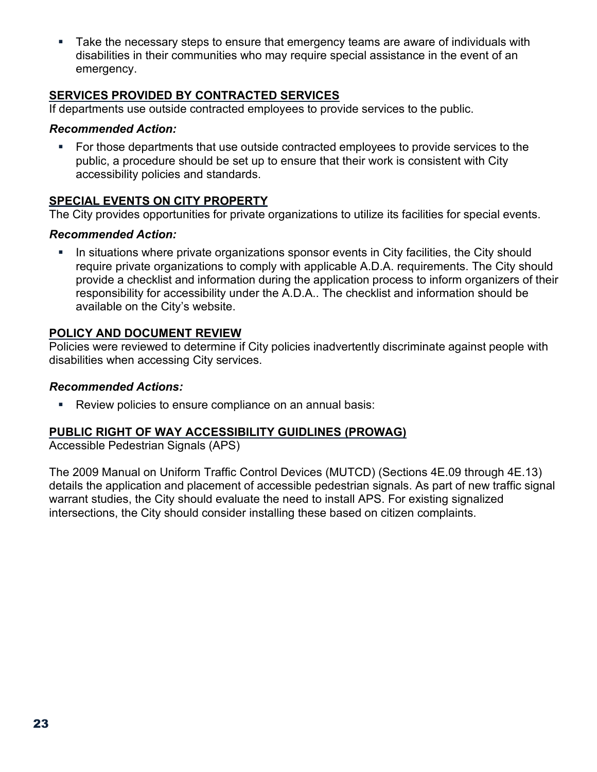**Take the necessary steps to ensure that emergency teams are aware of individuals with** disabilities in their communities who may require special assistance in the event of an emergency.

#### **SERVICES PROVIDED BY CONTRACTED SERVICES**

If departments use outside contracted employees to provide services to the public.

#### *Recommended Action:*

 For those departments that use outside contracted employees to provide services to the public, a procedure should be set up to ensure that their work is consistent with City accessibility policies and standards.

#### **SPECIAL EVENTS ON CITY PROPERTY**

The City provides opportunities for private organizations to utilize its facilities for special events.

#### *Recommended Action:*

In situations where private organizations sponsor events in City facilities, the City should require private organizations to comply with applicable A.D.A. requirements. The City should provide a checklist and information during the application process to inform organizers of their responsibility for accessibility under the A.D.A.. The checklist and information should be available on the City's website.

#### **POLICY AND DOCUMENT REVIEW**

Policies were reviewed to determine if City policies inadvertently discriminate against people with disabilities when accessing City services.

#### *Recommended Actions:*

Review policies to ensure compliance on an annual basis:

#### **PUBLIC RIGHT OF WAY ACCESSIBILITY GUIDLINES (PROWAG)**

Accessible Pedestrian Signals (APS)

The 2009 Manual on Uniform Traffic Control Devices (MUTCD) (Sections 4E.09 through 4E.13) details the application and placement of accessible pedestrian signals. As part of new traffic signal warrant studies, the City should evaluate the need to install APS. For existing signalized intersections, the City should consider installing these based on citizen complaints.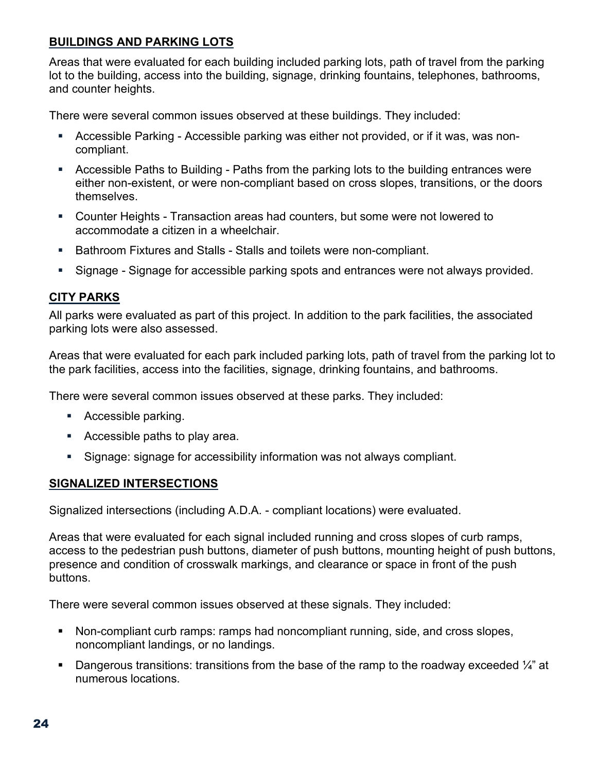#### **BUILDINGS AND PARKING LOTS**

Areas that were evaluated for each building included parking lots, path of travel from the parking lot to the building, access into the building, signage, drinking fountains, telephones, bathrooms, and counter heights.

There were several common issues observed at these buildings. They included:

- Accessible Parking Accessible parking was either not provided, or if it was, was noncompliant.
- Accessible Paths to Building Paths from the parking lots to the building entrances were either non-existent, or were non-compliant based on cross slopes, transitions, or the doors themselves.
- Counter Heights Transaction areas had counters, but some were not lowered to accommodate a citizen in a wheelchair.
- **Bathroom Fixtures and Stalls Stalls and toilets were non-compliant.**
- Signage Signage for accessible parking spots and entrances were not always provided.

#### **CITY PARKS**

All parks were evaluated as part of this project. In addition to the park facilities, the associated parking lots were also assessed.

Areas that were evaluated for each park included parking lots, path of travel from the parking lot to the park facilities, access into the facilities, signage, drinking fountains, and bathrooms.

There were several common issues observed at these parks. They included:

- Accessible parking.
- Accessible paths to play area.
- Signage: signage for accessibility information was not always compliant.

#### **SIGNALIZED INTERSECTIONS**

Signalized intersections (including A.D.A. - compliant locations) were evaluated.

Areas that were evaluated for each signal included running and cross slopes of curb ramps, access to the pedestrian push buttons, diameter of push buttons, mounting height of push buttons, presence and condition of crosswalk markings, and clearance or space in front of the push buttons.

There were several common issues observed at these signals. They included:

- Non-compliant curb ramps: ramps had noncompliant running, side, and cross slopes, noncompliant landings, or no landings.
- Dangerous transitions: transitions from the base of the ramp to the roadway exceeded  $\frac{1}{4}$ " at numerous locations.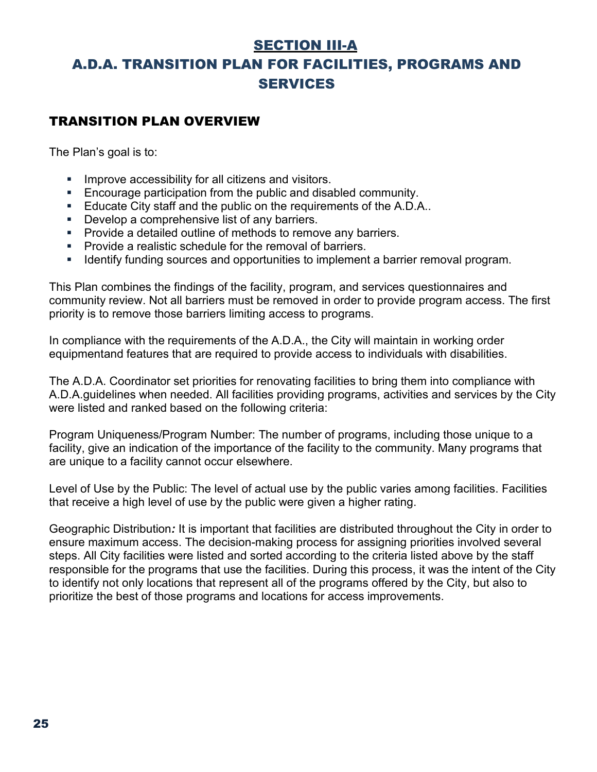### SECTION III-A

## A.D.A. TRANSITION PLAN FOR FACILITIES, PROGRAMS AND SERVICES

#### TRANSITION PLAN OVERVIEW

The Plan's goal is to:

- Improve accessibility for all citizens and visitors.
- **Encourage participation from the public and disabled community.**
- **Educate City staff and the public on the requirements of the A.D.A..**
- Develop a comprehensive list of any barriers.
- **Provide a detailed outline of methods to remove any barriers.**
- **Provide a realistic schedule for the removal of barriers.**
- **IDENTIFY IDENTIFY CONTEX 1** Identify funding sources and opportunities to implement a barrier removal program.

This Plan combines the findings of the facility, program, and services questionnaires and community review. Not all barriers must be removed in order to provide program access. The first priority is to remove those barriers limiting access to programs.

In compliance with the requirements of the A.D.A., the City will maintain in working order equipmentand features that are required to provide access to individuals with disabilities.

The A.D.A. Coordinator set priorities for renovating facilities to bring them into compliance with A.D.A.guidelines when needed. All facilities providing programs, activities and services by the City were listed and ranked based on the following criteria:

Program Uniqueness/Program Number: The number of programs, including those unique to a facility, give an indication of the importance of the facility to the community. Many programs that are unique to a facility cannot occur elsewhere.

Level of Use by the Public: The level of actual use by the public varies among facilities. Facilities that receive a high level of use by the public were given a higher rating.

Geographic Distribution*:* It is important that facilities are distributed throughout the City in order to ensure maximum access. The decision-making process for assigning priorities involved several steps. All City facilities were listed and sorted according to the criteria listed above by the staff responsible for the programs that use the facilities. During this process, it was the intent of the City to identify not only locations that represent all of the programs offered by the City, but also to prioritize the best of those programs and locations for access improvements.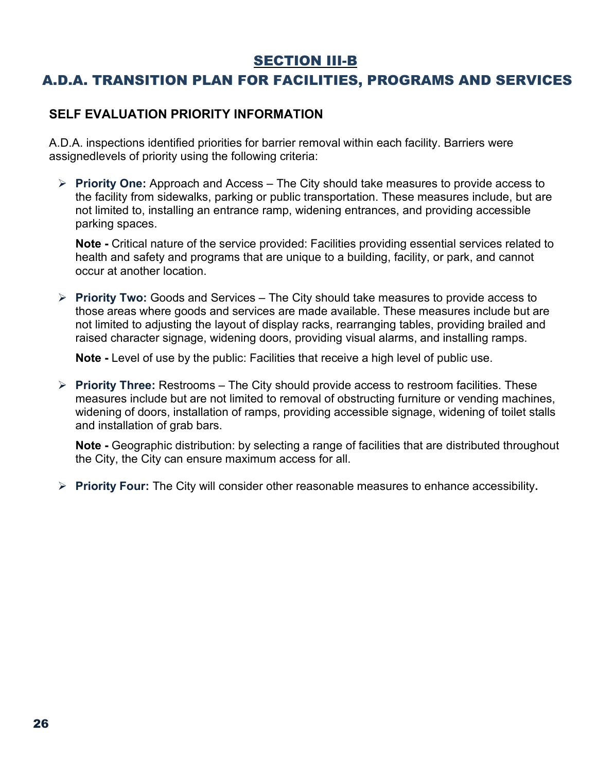### SECTION III-B

## A.D.A. TRANSITION PLAN FOR FACILITIES, PROGRAMS AND SERVICES

#### **SELF EVALUATION PRIORITY INFORMATION**

A.D.A. inspections identified priorities for barrier removal within each facility. Barriers were assignedlevels of priority using the following criteria:

 **Priority One:** Approach and Access – The City should take measures to provide access to the facility from sidewalks, parking or public transportation. These measures include, but are not limited to, installing an entrance ramp, widening entrances, and providing accessible parking spaces.

**Note -** Critical nature of the service provided: Facilities providing essential services related to health and safety and programs that are unique to a building, facility, or park, and cannot occur at another location.

 **Priority Two:** Goods and Services – The City should take measures to provide access to those areas where goods and services are made available. These measures include but are not limited to adjusting the layout of display racks, rearranging tables, providing brailed and raised character signage, widening doors, providing visual alarms, and installing ramps.

**Note -** Level of use by the public: Facilities that receive a high level of public use.

 **Priority Three:** Restrooms – The City should provide access to restroom facilities. These measures include but are not limited to removal of obstructing furniture or vending machines, widening of doors, installation of ramps, providing accessible signage, widening of toilet stalls and installation of grab bars.

**Note -** Geographic distribution: by selecting a range of facilities that are distributed throughout the City, the City can ensure maximum access for all.

**Priority Four:** The City will consider other reasonable measures to enhance accessibility**.**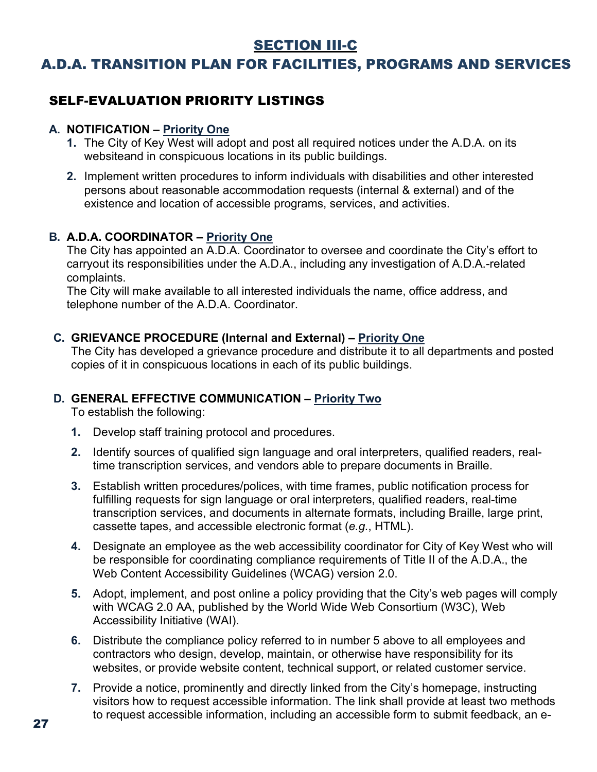### SECTION III-C

## A.D.A. TRANSITION PLAN FOR FACILITIES, PROGRAMS AND SERVICES

## SELF-EVALUATION PRIORITY LISTINGS

#### **A. NOTIFICATION – Priority One**

- **1.** The City of Key West will adopt and post all required notices under the A.D.A. on its websiteand in conspicuous locations in its public buildings.
- **2.** Implement written procedures to inform individuals with disabilities and other interested persons about reasonable accommodation requests (internal & external) and of the existence and location of accessible programs, services, and activities.

#### **B. A.D.A. COORDINATOR – Priority One**

The City has appointed an A.D.A. Coordinator to oversee and coordinate the City's effort to carryout its responsibilities under the A.D.A., including any investigation of A.D.A.-related complaints.

The City will make available to all interested individuals the name, office address, and telephone number of the A.D.A. Coordinator.

#### **C. GRIEVANCE PROCEDURE (Internal and External) – Priority One**

The City has developed a grievance procedure and distribute it to all departments and posted copies of it in conspicuous locations in each of its public buildings.

#### **D. GENERAL EFFECTIVE COMMUNICATION – Priority Two**

To establish the following:

- **1.** Develop staff training protocol and procedures.
- **2.** Identify sources of qualified sign language and oral interpreters, qualified readers, realtime transcription services, and vendors able to prepare documents in Braille.
- **3.** Establish written procedures/polices, with time frames, public notification process for fulfilling requests for sign language or oral interpreters, qualified readers, real-time transcription services, and documents in alternate formats, including Braille, large print, cassette tapes, and accessible electronic format (*e.g.*, HTML).
- **4.** Designate an employee as the web accessibility coordinator for City of Key West who will be responsible for coordinating compliance requirements of Title II of the A.D.A., the Web Content Accessibility Guidelines (WCAG) version 2.0.
- **5.** Adopt, implement, and post online a policy providing that the City's web pages will comply with WCAG 2.0 AA, published by the World Wide Web Consortium (W3C), Web Accessibility Initiative (WAI).
- **6.** Distribute the compliance policy referred to in number 5 above to all employees and contractors who design, develop, maintain, or otherwise have responsibility for its websites, or provide website content, technical support, or related customer service.
- **7.** Provide a notice, prominently and directly linked from the City's homepage, instructing visitors how to request accessible information. The link shall provide at least two methods to request accessible information, including an accessible form to submit feedback, an e-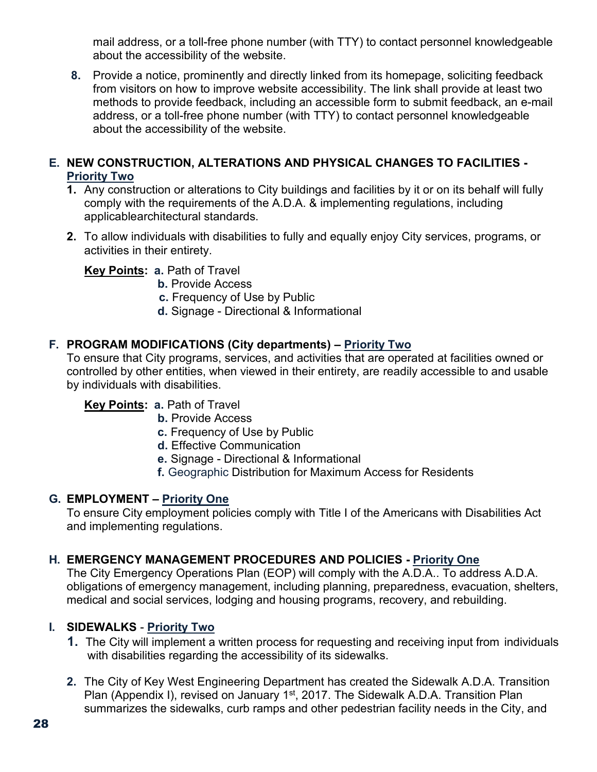mail address, or a toll-free phone number (with TTY) to contact personnel knowledgeable about the accessibility of the website.

**8.** Provide a notice, prominently and directly linked from its homepage, soliciting feedback from visitors on how to improve website accessibility. The link shall provide at least two methods to provide feedback, including an accessible form to submit feedback, an e-mail address, or a toll-free phone number (with TTY) to contact personnel knowledgeable about the accessibility of the website.

#### **E. NEW CONSTRUCTION, ALTERATIONS AND PHYSICAL CHANGES TO FACILITIES - Priority Two**

- **1.** Any construction or alterations to City buildings and facilities by it or on its behalf will fully comply with the requirements of the A.D.A. & implementing regulations, including applicablearchitectural standards.
- **2.** To allow individuals with disabilities to fully and equally enjoy City services, programs, or activities in their entirety.

#### **Key Points: a.** Path of Travel

- **b.** Provide Access
- **c.** Frequency of Use by Public
- **d.** Signage Directional & Informational

#### **F. PROGRAM MODIFICATIONS (City departments) – Priority Two**

To ensure that City programs, services, and activities that are operated at facilities owned or controlled by other entities, when viewed in their entirety, are readily accessible to and usable by individuals with disabilities.

#### **Key Points: a.** Path of Travel

- **b.** Provide Access
- **c.** Frequency of Use by Public
- **d.** Effective Communication
- **e.** Signage Directional & Informational
- **f.** Geographic Distribution for Maximum Access for Residents

#### **G. EMPLOYMENT – Priority One**

To ensure City employment policies comply with Title I of the Americans with Disabilities Act and implementing regulations.

#### **H. EMERGENCY MANAGEMENT PROCEDURES AND POLICIES - Priority One**

The City Emergency Operations Plan (EOP) will comply with the A.D.A.. To address A.D.A. obligations of emergency management, including planning, preparedness, evacuation, shelters, medical and social services, lodging and housing programs, recovery, and rebuilding.

#### **I. SIDEWALKS** - **Priority Two**

- **1.** The City will implement a written process for requesting and receiving input from individuals with disabilities regarding the accessibility of its sidewalks.
- **2.** The City of Key West Engineering Department has created the Sidewalk A.D.A. Transition Plan (Appendix I), revised on January 1<sup>st</sup>, 2017. The Sidewalk A.D.A. Transition Plan summarizes the sidewalks, curb ramps and other pedestrian facility needs in the City, and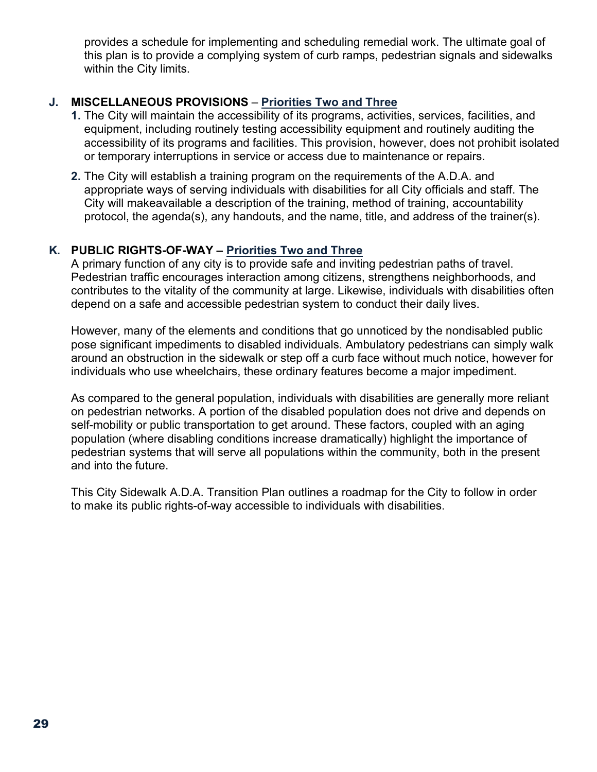provides a schedule for implementing and scheduling remedial work. The ultimate goal of this plan is to provide a complying system of curb ramps, pedestrian signals and sidewalks within the City limits.

#### **J. MISCELLANEOUS PROVISIONS** – **Priorities Two and Three**

- **1.** The City will maintain the accessibility of its programs, activities, services, facilities, and equipment, including routinely testing accessibility equipment and routinely auditing the accessibility of its programs and facilities. This provision, however, does not prohibit isolated or temporary interruptions in service or access due to maintenance or repairs.
- **2.** The City will establish a training program on the requirements of the A.D.A. and appropriate ways of serving individuals with disabilities for all City officials and staff. The City will makeavailable a description of the training, method of training, accountability protocol, the agenda(s), any handouts, and the name, title, and address of the trainer(s).

#### **K. PUBLIC RIGHTS-OF-WAY – Priorities Two and Three**

A primary function of any city is to provide safe and inviting pedestrian paths of travel. Pedestrian traffic encourages interaction among citizens, strengthens neighborhoods, and contributes to the vitality of the community at large. Likewise, individuals with disabilities often depend on a safe and accessible pedestrian system to conduct their daily lives.

However, many of the elements and conditions that go unnoticed by the nondisabled public pose significant impediments to disabled individuals. Ambulatory pedestrians can simply walk around an obstruction in the sidewalk or step off a curb face without much notice, however for individuals who use wheelchairs, these ordinary features become a major impediment.

As compared to the general population, individuals with disabilities are generally more reliant on pedestrian networks. A portion of the disabled population does not drive and depends on self-mobility or public transportation to get around. These factors, coupled with an aging population (where disabling conditions increase dramatically) highlight the importance of pedestrian systems that will serve all populations within the community, both in the present and into the future.

This City Sidewalk A.D.A. Transition Plan outlines a roadmap for the City to follow in order to make its public rights-of-way accessible to individuals with disabilities.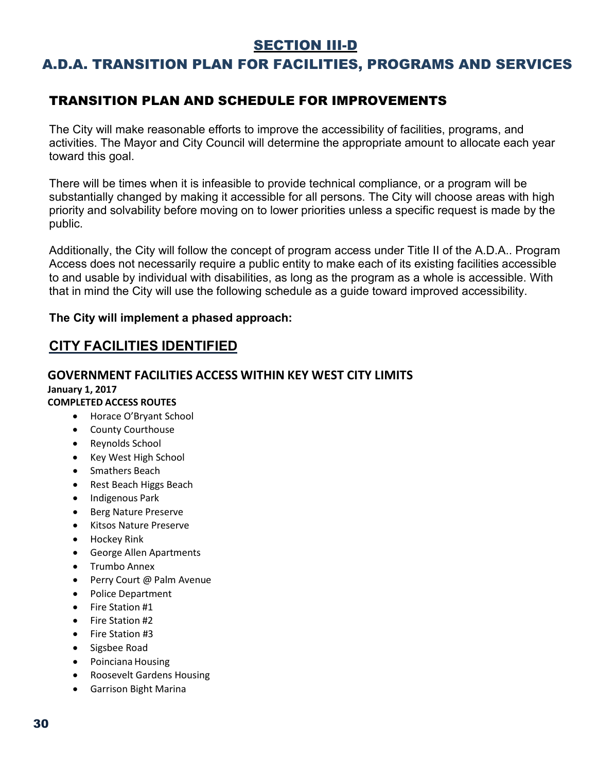### SECTION III-D

## A.D.A. TRANSITION PLAN FOR FACILITIES, PROGRAMS AND SERVICES

### TRANSITION PLAN AND SCHEDULE FOR IMPROVEMENTS

The City will make reasonable efforts to improve the accessibility of facilities, programs, and activities. The Mayor and City Council will determine the appropriate amount to allocate each year toward this goal.

There will be times when it is infeasible to provide technical compliance, or a program will be substantially changed by making it accessible for all persons. The City will choose areas with high priority and solvability before moving on to lower priorities unless a specific request is made by the public.

Additionally, the City will follow the concept of program access under Title II of the A.D.A.. Program Access does not necessarily require a public entity to make each of its existing facilities accessible to and usable by individual with disabilities, as long as the program as a whole is accessible. With that in mind the City will use the following schedule as a guide toward improved accessibility.

#### **The City will implement a phased approach:**

#### **CITY FACILITIES IDENTIFIED**

## **GOVERNMENT FACILITIES ACCESS WITHIN KEY WEST CITY LIMITS**

#### **January 1, 2017 COMPLETED ACCESS ROUTES**

- Horace O'Bryant School
- County Courthouse
- Reynolds School
- Key West High School
- Smathers Beach
- Rest Beach Higgs Beach
- Indigenous Park
- Berg Nature Preserve
- Kitsos Nature Preserve
- Hockey Rink
- George Allen Apartments
- Trumbo Annex
- Perry Court @ Palm Avenue
- Police Department
- Fire Station #1
- Fire Station #2
- Fire Station #3
- Sigsbee Road
- Poinciana Housing
- Roosevelt Gardens Housing
- Garrison Bight Marina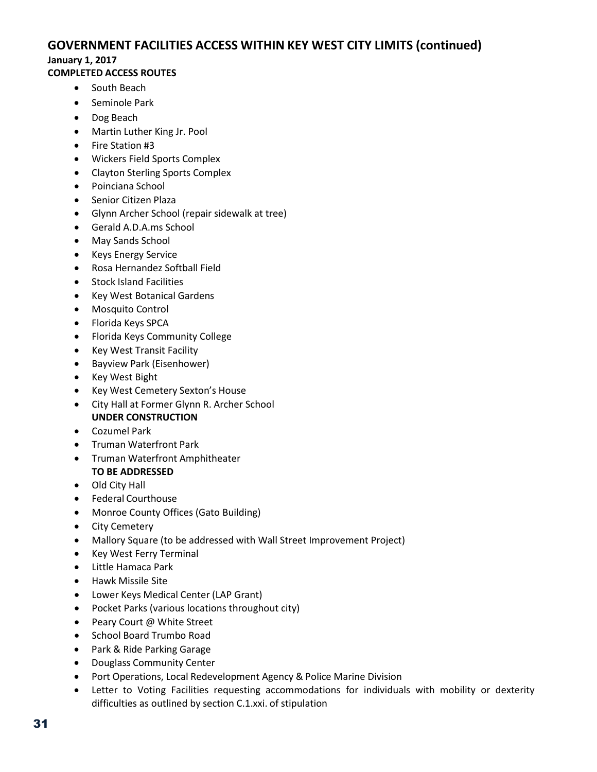#### **GOVERNMENT FACILITIES ACCESS WITHIN KEY WEST CITY LIMITS (continued)**

#### **January 1, 2017**

#### **COMPLETED ACCESS ROUTES**

- South Beach
- Seminole Park
- Dog Beach
- Martin Luther King Jr. Pool
- Fire Station #3
- Wickers Field Sports Complex
- Clayton Sterling Sports Complex
- Poinciana School
- Senior Citizen Plaza
- Glynn Archer School (repair sidewalk at tree)
- Gerald A.D.A.ms School
- May Sands School
- Keys Energy Service
- Rosa Hernandez Softball Field
- Stock Island Facilities
- Key West Botanical Gardens
- Mosquito Control
- Florida Keys SPCA
- Florida Keys Community College
- Key West Transit Facility
- Bayview Park (Eisenhower)
- Key West Bight
- Key West Cemetery Sexton's House
- City Hall at Former Glynn R. Archer School **UNDER CONSTRUCTION**
- Cozumel Park
- Truman Waterfront Park
- Truman Waterfront Amphitheater **TO BE ADDRESSED**
- Old City Hall
- Federal Courthouse
- Monroe County Offices (Gato Building)
- City Cemetery
- Mallory Square (to be addressed with Wall Street Improvement Project)
- Key West Ferry Terminal
- Little Hamaca Park
- Hawk Missile Site
- Lower Keys Medical Center (LAP Grant)
- Pocket Parks (various locations throughout city)
- Peary Court @ White Street
- School Board Trumbo Road
- Park & Ride Parking Garage
- Douglass Community Center
- Port Operations, Local Redevelopment Agency & Police Marine Division
- Letter to Voting Facilities requesting accommodations for individuals with mobility or dexterity difficulties as outlined by section C.1.xxi. of stipulation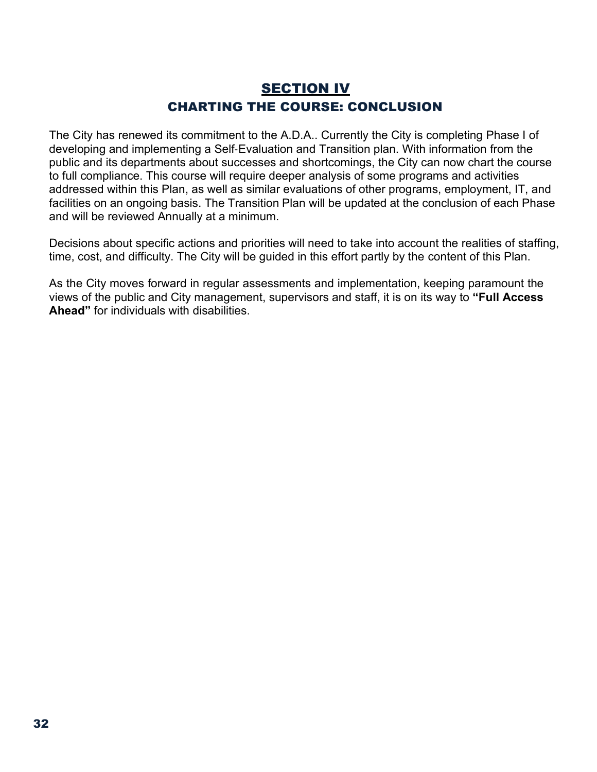## SECTION IV CHARTING THE COURSE: CONCLUSION

The City has renewed its commitment to the A.D.A.. Currently the City is completing Phase I of developing and implementing a Self‐Evaluation and Transition plan. With information from the public and its departments about successes and shortcomings, the City can now chart the course to full compliance. This course will require deeper analysis of some programs and activities addressed within this Plan, as well as similar evaluations of other programs, employment, IT, and facilities on an ongoing basis. The Transition Plan will be updated at the conclusion of each Phase and will be reviewed Annually at a minimum.

Decisions about specific actions and priorities will need to take into account the realities of staffing, time, cost, and difficulty. The City will be guided in this effort partly by the content of this Plan.

As the City moves forward in regular assessments and implementation, keeping paramount the views of the public and City management, supervisors and staff, it is on its way to **"Full Access Ahead"** for individuals with disabilities.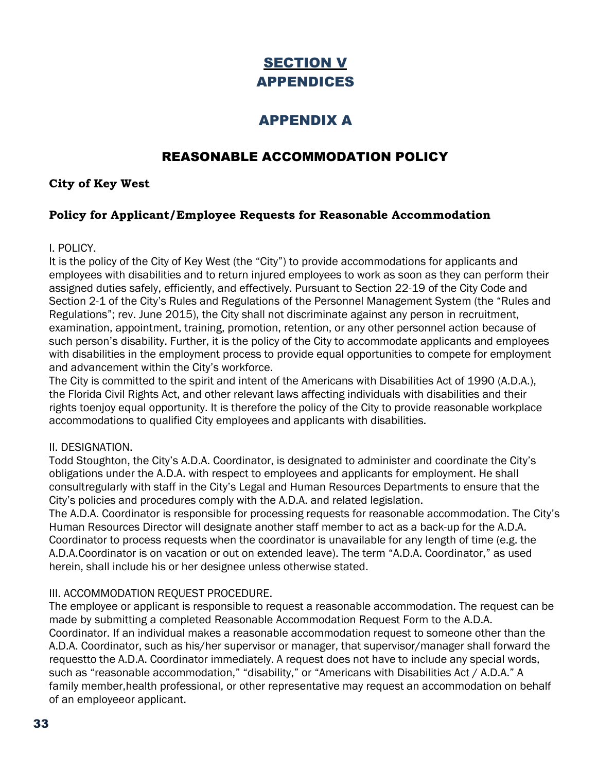## **SECTION V** APPENDICES

## APPENDIX A

## REASONABLE ACCOMMODATION POLICY

#### **City of Key West**

#### **Policy for Applicant/Employee Requests for Reasonable Accommodation**

#### I. POLICY.

It is the policy of the City of Key West (the "City") to provide accommodations for applicants and employees with disabilities and to return injured employees to work as soon as they can perform their assigned duties safely, efficiently, and effectively. Pursuant to Section 22-19 of the City Code and Section 2-1 of the City's Rules and Regulations of the Personnel Management System (the "Rules and Regulations"; rev. June 2015), the City shall not discriminate against any person in recruitment, examination, appointment, training, promotion, retention, or any other personnel action because of such person's disability. Further, it is the policy of the City to accommodate applicants and employees with disabilities in the employment process to provide equal opportunities to compete for employment and advancement within the City's workforce.

The City is committed to the spirit and intent of the Americans with Disabilities Act of 1990 (A.D.A.), the Florida Civil Rights Act, and other relevant laws affecting individuals with disabilities and their rights toenjoy equal opportunity. It is therefore the policy of the City to provide reasonable workplace accommodations to qualified City employees and applicants with disabilities.

#### II. DESIGNATION.

Todd Stoughton, the City's A.D.A. Coordinator, is designated to administer and coordinate the City's obligations under the A.D.A. with respect to employees and applicants for employment. He shall consultregularly with staff in the City's Legal and Human Resources Departments to ensure that the City's policies and procedures comply with the A.D.A. and related legislation.

The A.D.A. Coordinator is responsible for processing requests for reasonable accommodation. The City's Human Resources Director will designate another staff member to act as a back-up for the A.D.A. Coordinator to process requests when the coordinator is unavailable for any length of time (e.g. the A.D.A.Coordinator is on vacation or out on extended leave). The term "A.D.A. Coordinator," as used herein, shall include his or her designee unless otherwise stated.

#### III. ACCOMMODATION REQUEST PROCEDURE.

The employee or applicant is responsible to request a reasonable accommodation. The request can be made by submitting a completed Reasonable Accommodation Request Form to the A.D.A. Coordinator. If an individual makes a reasonable accommodation request to someone other than the A.D.A. Coordinator, such as his/her supervisor or manager, that supervisor/manager shall forward the requestto the A.D.A. Coordinator immediately. A request does not have to include any special words, such as "reasonable accommodation," "disability," or "Americans with Disabilities Act / A.D.A." A family member,health professional, or other representative may request an accommodation on behalf of an employeeor applicant.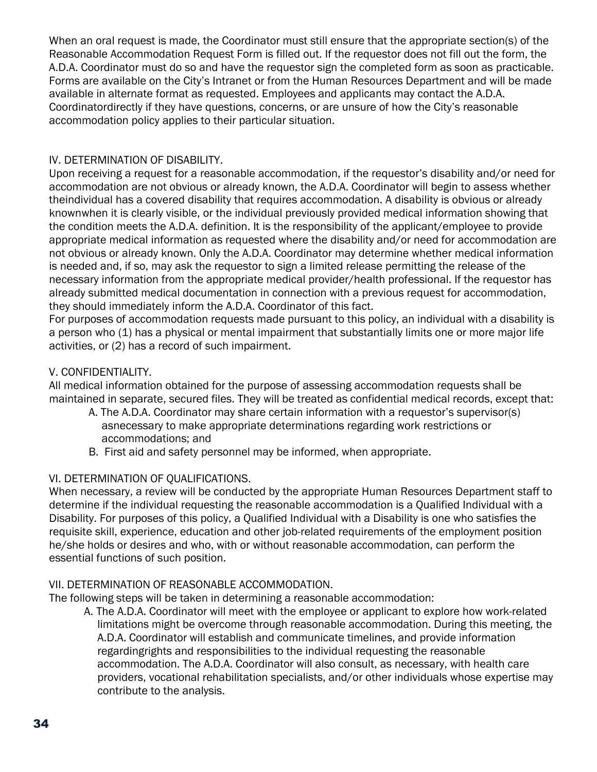When an oral request is made, the Coordinator must still ensure that the appropriate section(s) of the Reasonable Accommodation Request Form is filled out. If the requestor does not fill out the form, the A.D.A. Coordinator must do so and have the requestor sign the completed form as soon as practicable. Forms are available on the City's Intranet or from the Human Resources Department and will be made available in alternate format as requested. Employees and applicants may contact the A.D.A. Coordinatordirectly if they have questions, concerns, or are unsure of how the City's reasonable accommodation policy applies to their particular situation.

#### IV. DETERMINATION OF DISABILITY.

Upon receiving a request for a reasonable accommodation, if the requestor's disability and/or need for accommodation are not obvious or already known, the A.D.A. Coordinator will begin to assess whether theindividual has a covered disability that requires accommodation. A disability is obvious or already knownwhen it is clearly visible, or the individual previously provided medical information showing that the condition meets the A.D.A. definition. It is the responsibility of the applicant/employee to provide appropriate medical information as requested where the disability and/or need for accommodation are not obvious or already known. Only the A.D.A. Coordinator may determine whether medical information is needed and, if so, may ask the requestor to sign a limited release permitting the release of the necessary information from the appropriate medical provider/health professional. If the requestor has already submitted medical documentation in connection with a previous request for accommodation, they should immediately inform the A.D.A. Coordinator of this fact.

For purposes of accommodation requests made pursuant to this policy, an individual with a disability is a person who (1) has a physical or mental impairment that substantially limits one or more major life activities, or (2) has a record of such impairment.

#### V. CONFIDENTIALITY.

All medical information obtained for the purpose of assessing accommodation requests shall be maintained in separate, secured files. They will be treated as confidential medical records, except that:

- A. The A.D.A. Coordinator may share certain information with a requestor's supervisor(s) asnecessary to make appropriate determinations regarding work restrictions or accommodations; and
- B. First aid and safety personnel may be informed, when appropriate.

#### VI. DETERMINATION OF QUALIFICATIONS.

When necessary, a review will be conducted by the appropriate Human Resources Department staff to determine if the individual requesting the reasonable accommodation is a Qualified Individual with a Disability. For purposes of this policy, a Qualified Individual with a Disability is one who satisfies the requisite skill, experience, education and other job-related requirements of the employment position he/she holds or desires and who, with or without reasonable accommodation, can perform the essential functions of such position.

#### VII. DETERMINATION OF REASONABLE ACCOMMODATION.

The following steps will be taken in determining a reasonable accommodation:

A. The A.D.A. Coordinator will meet with the employee or applicant to explore how work-related limitations might be overcome through reasonable accommodation. During this meeting, the A.D.A. Coordinator will establish and communicate timelines, and provide information regardingrights and responsibilities to the individual requesting the reasonable accommodation. The A.D.A. Coordinator will also consult, as necessary, with health care providers, vocational rehabilitation specialists, and/or other individuals whose expertise may contribute to the analysis.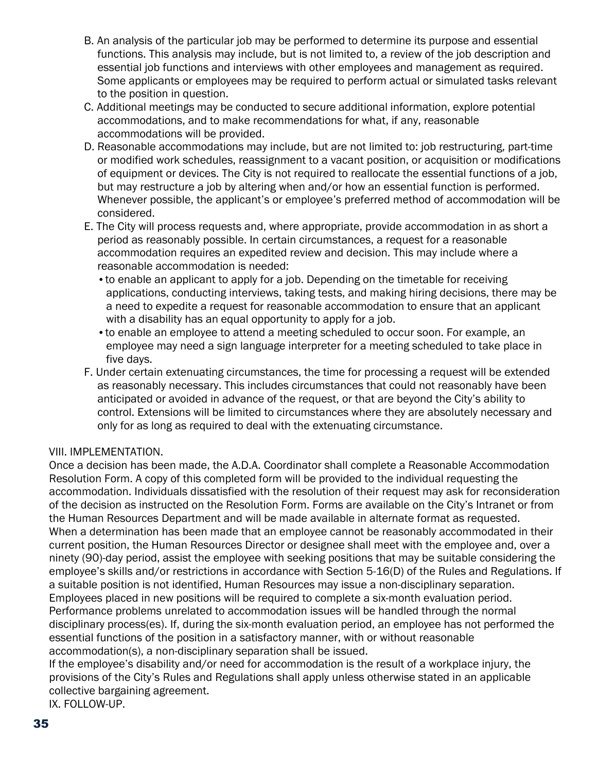- B. An analysis of the particular job may be performed to determine its purpose and essential functions. This analysis may include, but is not limited to, a review of the job description and essential job functions and interviews with other employees and management as required. Some applicants or employees may be required to perform actual or simulated tasks relevant to the position in question.
- C. Additional meetings may be conducted to secure additional information, explore potential accommodations, and to make recommendations for what, if any, reasonable accommodations will be provided.
- D. Reasonable accommodations may include, but are not limited to: job restructuring, part-time or modified work schedules, reassignment to a vacant position, or acquisition or modifications of equipment or devices. The City is not required to reallocate the essential functions of a job, but may restructure a job by altering when and/or how an essential function is performed. Whenever possible, the applicant's or employee's preferred method of accommodation will be considered.
- E. The City will process requests and, where appropriate, provide accommodation in as short a period as reasonably possible. In certain circumstances, a request for a reasonable accommodation requires an expedited review and decision. This may include where a reasonable accommodation is needed:
	- •to enable an applicant to apply for a job. Depending on the timetable for receiving applications, conducting interviews, taking tests, and making hiring decisions, there may be a need to expedite a request for reasonable accommodation to ensure that an applicant with a disability has an equal opportunity to apply for a job.
	- •to enable an employee to attend a meeting scheduled to occur soon. For example, an employee may need a sign language interpreter for a meeting scheduled to take place in five days.
- F. Under certain extenuating circumstances, the time for processing a request will be extended as reasonably necessary. This includes circumstances that could not reasonably have been anticipated or avoided in advance of the request, or that are beyond the City's ability to control. Extensions will be limited to circumstances where they are absolutely necessary and only for as long as required to deal with the extenuating circumstance.

#### VIII. IMPLEMENTATION.

Once a decision has been made, the A.D.A. Coordinator shall complete a Reasonable Accommodation Resolution Form. A copy of this completed form will be provided to the individual requesting the accommodation. Individuals dissatisfied with the resolution of their request may ask for reconsideration of the decision as instructed on the Resolution Form. Forms are available on the City's Intranet or from the Human Resources Department and will be made available in alternate format as requested. When a determination has been made that an employee cannot be reasonably accommodated in their current position, the Human Resources Director or designee shall meet with the employee and, over a ninety (90)-day period, assist the employee with seeking positions that may be suitable considering the employee's skills and/or restrictions in accordance with Section 5-16(D) of the Rules and Regulations. If a suitable position is not identified, Human Resources may issue a non-disciplinary separation. Employees placed in new positions will be required to complete a six-month evaluation period. Performance problems unrelated to accommodation issues will be handled through the normal disciplinary process(es). If, during the six-month evaluation period, an employee has not performed the essential functions of the position in a satisfactory manner, with or without reasonable accommodation(s), a non-disciplinary separation shall be issued.

If the employee's disability and/or need for accommodation is the result of a workplace injury, the provisions of the City's Rules and Regulations shall apply unless otherwise stated in an applicable collective bargaining agreement.

IX. FOLLOW-UP.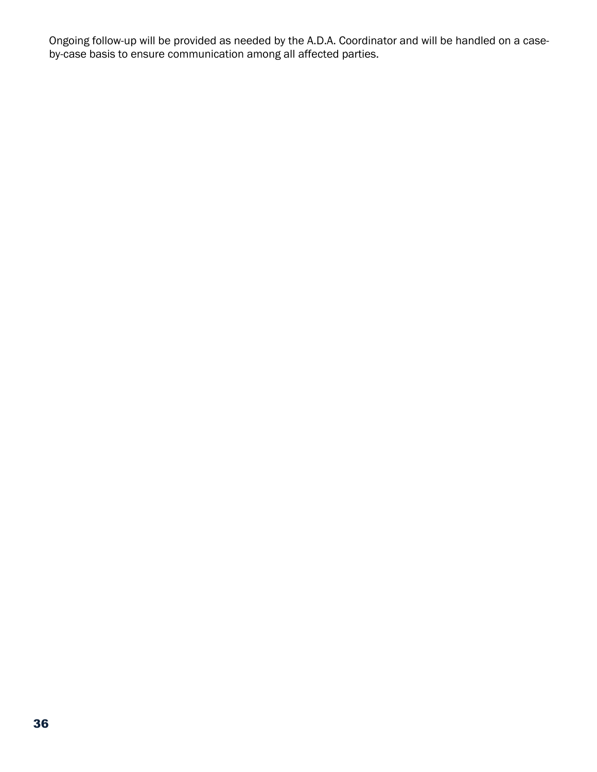Ongoing follow-up will be provided as needed by the A.D.A. Coordinator and will be handled on a caseby-case basis to ensure communication among all affected parties.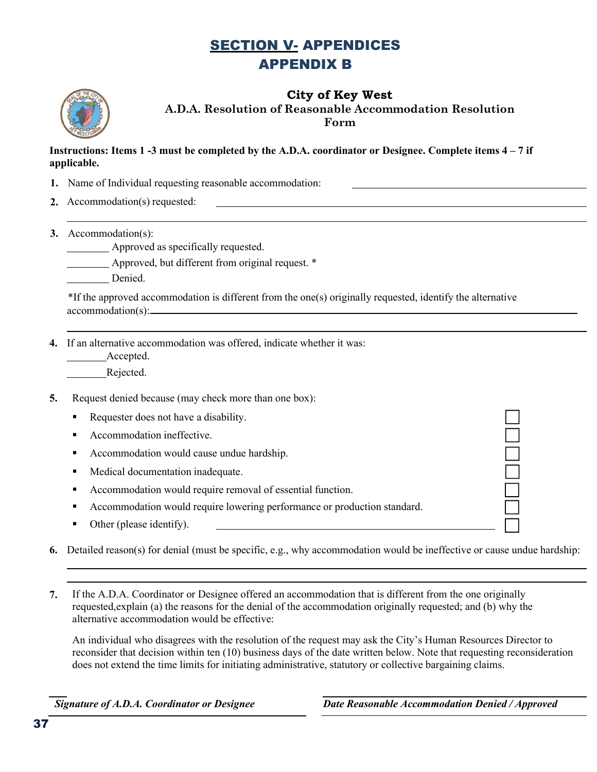## SECTION V- APPENDICES APPENDIX B



**City of Key West A.D.A. Resolution of Reasonable Accommodation Resolution Form**

#### **Instructions: Items 1 -3 must be completed by the A.D.A. coordinator or Designee. Complete items 4 – 7 if applicable.**

- **1.** Name of Individual requesting reasonable accommodation:
- **2.** Accommodation(s) requested:
- **3.** Accommodation(s):

Approved as specifically requested.

Approved, but different from original request. \*

Denied.

\*If the approved accommodation is different from the one(s) originally requested, identify the alternative accommodation(s):

**4.** If an alternative accommodation was offered, indicate whether it was:

Accepted.

Rejected.

**5.** Request denied because (may check more than one box):

Requester does not have a disability.

- Accommodation ineffective.
- Accommodation would cause undue hardship.
- **•** Medical documentation inadequate.
- Accommodation would require removal of essential function.
- Accommodation would require lowering performance or production standard.
- Other (please identify).

**6.** Detailed reason(s) for denial (must be specific, e.g., why accommodation would be ineffective or cause undue hardship:

**7.** If the A.D.A. Coordinator or Designee offered an accommodation that is different from the one originally requested,explain (a) the reasons for the denial of the accommodation originally requested; and (b) why the alternative accommodation would be effective:

An individual who disagrees with the resolution of the request may ask the City's Human Resources Director to reconsider that decision within ten (10) business days of the date written below. Note that requesting reconsideration does not extend the time limits for initiating administrative, statutory or collective bargaining claims.

*Signature of A.D.A. Coordinator or Designee Date Reasonable Accommodation Denied / Approved*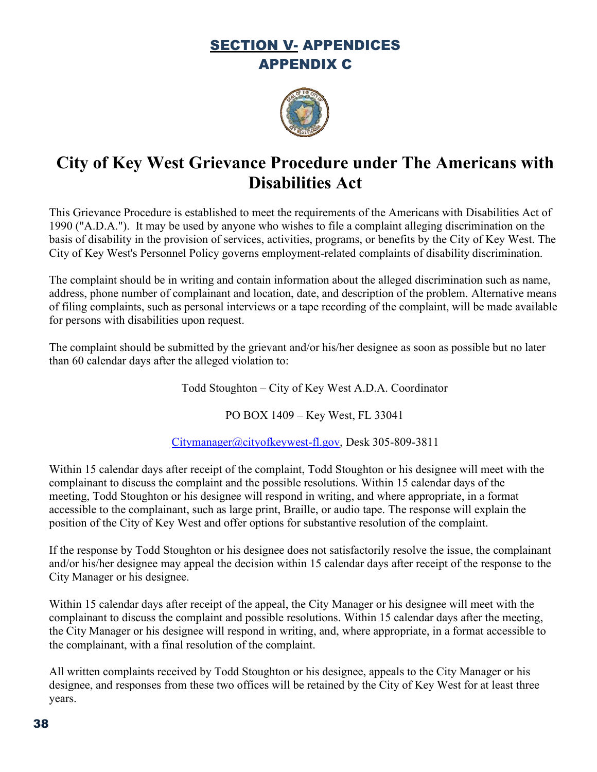## SECTION V- APPENDICES APPENDIX C



# **City of Key West Grievance Procedure under The Americans with Disabilities Act**

This Grievance Procedure is established to meet the requirements of the Americans with Disabilities Act of 1990 ("A.D.A."). It may be used by anyone who wishes to file a complaint alleging discrimination on the basis of disability in the provision of services, activities, programs, or benefits by the City of Key West. The City of Key West's Personnel Policy governs employment-related complaints of disability discrimination.

The complaint should be in writing and contain information about the alleged discrimination such as name, address, phone number of complainant and location, date, and description of the problem. Alternative means of filing complaints, such as personal interviews or a tape recording of the complaint, will be made available for persons with disabilities upon request.

The complaint should be submitted by the grievant and/or his/her designee as soon as possible but no later than 60 calendar days after the alleged violation to:

Todd Stoughton – City of Key West A.D.A. Coordinator

PO BOX 1409 – Key West, FL 33041

[Citymanager@cityofkeywest-fl.gov,](mailto:Citymanager@cityofkeywest-fl.gov) Desk 305-809-3811

Within 15 calendar days after receipt of the complaint, Todd Stoughton or his designee will meet with the complainant to discuss the complaint and the possible resolutions. Within 15 calendar days of the meeting, Todd Stoughton or his designee will respond in writing, and where appropriate, in a format accessible to the complainant, such as large print, Braille, or audio tape. The response will explain the position of the City of Key West and offer options for substantive resolution of the complaint.

If the response by Todd Stoughton or his designee does not satisfactorily resolve the issue, the complainant and/or his/her designee may appeal the decision within 15 calendar days after receipt of the response to the City Manager or his designee.

Within 15 calendar days after receipt of the appeal, the City Manager or his designee will meet with the complainant to discuss the complaint and possible resolutions. Within 15 calendar days after the meeting, the City Manager or his designee will respond in writing, and, where appropriate, in a format accessible to the complainant, with a final resolution of the complaint.

All written complaints received by Todd Stoughton or his designee, appeals to the City Manager or his designee, and responses from these two offices will be retained by the City of Key West for at least three years.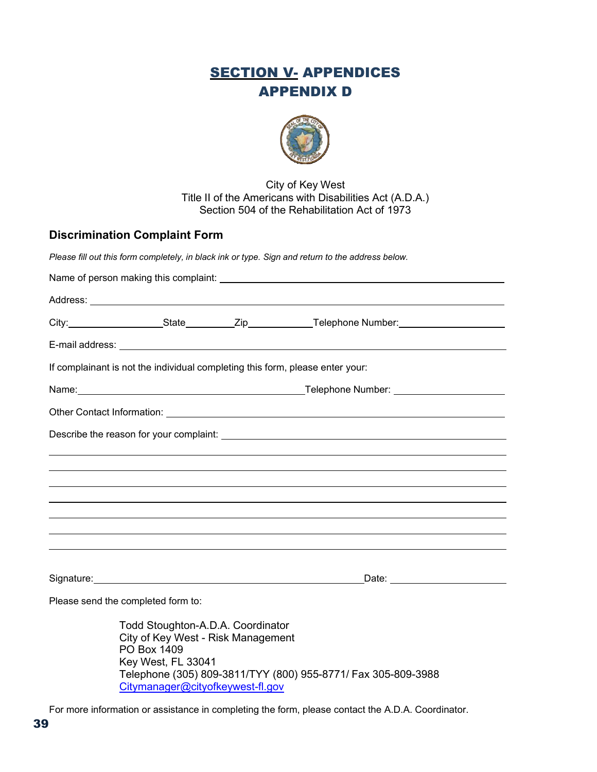## **SECTION V- APPENDICES** APPENDIX D



#### City of Key West Title II of the Americans with Disabilities Act (A.D.A.) Section 504 of the Rehabilitation Act of 1973

#### **Discrimination Complaint Form**

*Please fill out this form completely, in black ink or type. Sign and return to the address below.*

|  |                                                                                                                                                  |  | City:_____________________State__________Zip_____________Telephone Number:_________________________ |  |  |
|--|--------------------------------------------------------------------------------------------------------------------------------------------------|--|-----------------------------------------------------------------------------------------------------|--|--|
|  |                                                                                                                                                  |  |                                                                                                     |  |  |
|  | If complainant is not the individual completing this form, please enter your:                                                                    |  |                                                                                                     |  |  |
|  |                                                                                                                                                  |  |                                                                                                     |  |  |
|  |                                                                                                                                                  |  | Other Contact Information: <u>[1989]</u> Contact Information: 2009] Contact Information:            |  |  |
|  |                                                                                                                                                  |  |                                                                                                     |  |  |
|  |                                                                                                                                                  |  |                                                                                                     |  |  |
|  |                                                                                                                                                  |  |                                                                                                     |  |  |
|  |                                                                                                                                                  |  |                                                                                                     |  |  |
|  |                                                                                                                                                  |  |                                                                                                     |  |  |
|  |                                                                                                                                                  |  |                                                                                                     |  |  |
|  |                                                                                                                                                  |  |                                                                                                     |  |  |
|  | Please send the completed form to:                                                                                                               |  |                                                                                                     |  |  |
|  | Todd Stoughton-A.D.A. Coordinator<br>City of Key West - Risk Management<br>PO Box 1409<br>Key West, FL 33041<br>Citymanager@cityofkeywest-fl.gov |  | Telephone (305) 809-3811/TYY (800) 955-8771/ Fax 305-809-3988                                       |  |  |

For more information or assistance in completing the form, please contact the A.D.A. Coordinator.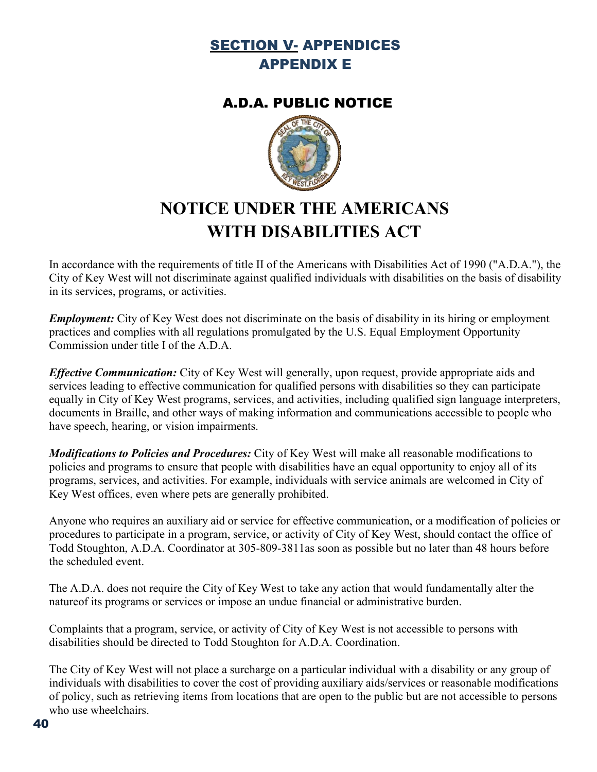## SECTION V- APPENDICES APPENDIX E

## A.D.A. PUBLIC NOTICE



# **NOTICE UNDER THE AMERICANS WITH DISABILITIES ACT**

In accordance with the requirements of title II of the Americans with Disabilities Act of 1990 ("A.D.A."), the City of Key West will not discriminate against qualified individuals with disabilities on the basis of disability in its services, programs, or activities.

*Employment:* City of Key West does not discriminate on the basis of disability in its hiring or employment practices and complies with all regulations promulgated by the U.S. Equal Employment Opportunity Commission under title I of the A.D.A.

*Effective Communication:* City of Key West will generally, upon request, provide appropriate aids and services leading to effective communication for qualified persons with disabilities so they can participate equally in City of Key West programs, services, and activities, including qualified sign language interpreters, documents in Braille, and other ways of making information and communications accessible to people who have speech, hearing, or vision impairments.

*Modifications to Policies and Procedures:* City of Key West will make all reasonable modifications to policies and programs to ensure that people with disabilities have an equal opportunity to enjoy all of its programs, services, and activities. For example, individuals with service animals are welcomed in City of Key West offices, even where pets are generally prohibited.

Anyone who requires an auxiliary aid or service for effective communication, or a modification of policies or procedures to participate in a program, service, or activity of City of Key West, should contact the office of Todd Stoughton, A.D.A. Coordinator at 305-809-3811as soon as possible but no later than 48 hours before the scheduled event.

The A.D.A. does not require the City of Key West to take any action that would fundamentally alter the natureof its programs or services or impose an undue financial or administrative burden.

Complaints that a program, service, or activity of City of Key West is not accessible to persons with disabilities should be directed to Todd Stoughton for A.D.A. Coordination.

The City of Key West will not place a surcharge on a particular individual with a disability or any group of individuals with disabilities to cover the cost of providing auxiliary aids/services or reasonable modifications of policy, such as retrieving items from locations that are open to the public but are not accessible to persons who use wheelchairs.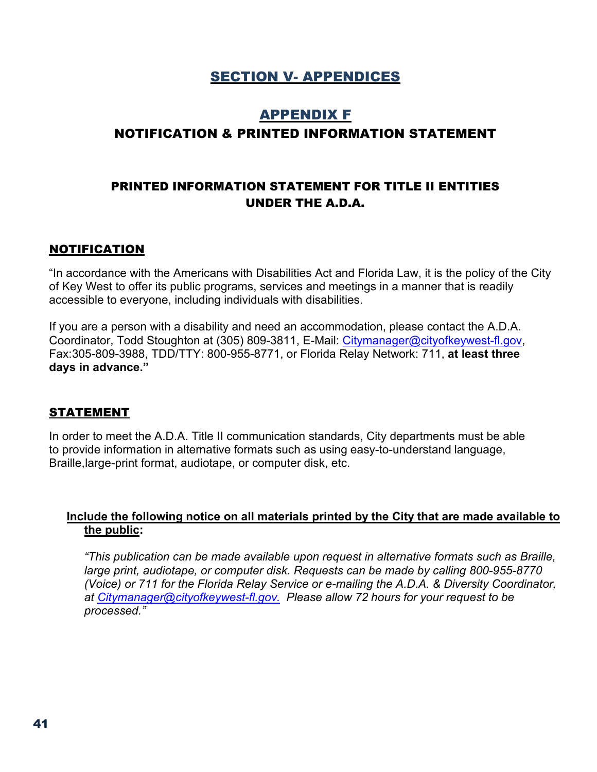## SECTION V- APPENDICES

## APPENDIX F NOTIFICATION & PRINTED INFORMATION STATEMENT

#### PRINTED INFORMATION STATEMENT FOR TITLE II ENTITIES UNDER THE A.D.A.

#### NOTIFICATION

"In accordance with the Americans with Disabilities Act and Florida Law, it is the policy of the City of Key West to offer its public programs, services and meetings in a manner that is readily accessible to everyone, including individuals with disabilities.

If you are a person with a disability and need an accommodation, please contact the A.D.A. Coordinator, Todd Stoughton at (305) 809-3811, E-Mail: [Citymanager@cityofkeywest-fl.gov,](mailto:Citymanager@cityofkeywest-fl.gov) Fax:305-809-3988, TDD/TTY: 800-955-8771, or Florida Relay Network: 711, **at least three days in advance."**

#### **STATEMENT**

In order to meet the A.D.A. Title II communication standards, City departments must be able to provide information in alternative formats such as using easy-to-understand language, Braille,large-print format, audiotape, or computer disk, etc.

#### **Include the following notice on all materials printed by the City that are made available to the public:**

*"This publication can be made available upon request in alternative formats such as Braille, large print, audiotape, or computer disk. Requests can be made by calling 800-955-8770 (Voice) or 711 for the Florida Relay Service or e-mailing the A.D.A. & Diversity Coordinator, at [Citymanager@cityofkeywest-fl.gov.](mailto:Citymanager@cityofkeywest-fl.gov.) Please allow 72 hours for your request to be processed."*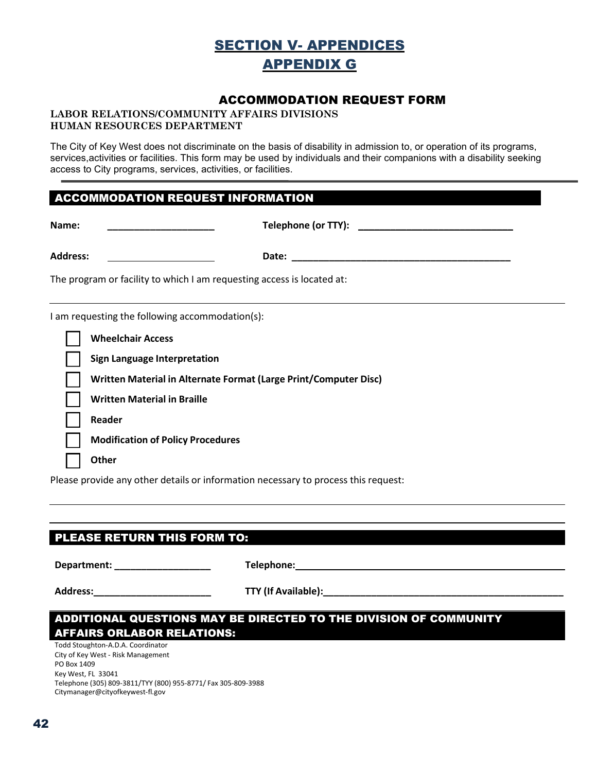## SECTION V- APPENDICES APPENDIX G

#### ACCOMMODATION REQUEST FORM

#### **LABOR RELATIONS/COMMUNITY AFFAIRS DIVISIONS HUMAN RESOURCES DEPARTMENT**

The City of Key West does not discriminate on the basis of disability in admission to, or operation of its programs, services,activities or facilities. This form may be used by individuals and their companions with a disability seeking access to City programs, services, activities, or facilities.

#### ACCOMMODATION REQUEST INFORMATION

| Name:                                                                  | Telephone (or TTY): Note that the state of the state of the state of the state of the state of the state of the state of the state of the state of the state of the state of the state of the state of the state of the state |  |  |
|------------------------------------------------------------------------|-------------------------------------------------------------------------------------------------------------------------------------------------------------------------------------------------------------------------------|--|--|
| <b>Address:</b>                                                        |                                                                                                                                                                                                                               |  |  |
| The program or facility to which I am requesting access is located at: |                                                                                                                                                                                                                               |  |  |
|                                                                        | I am requesting the following accommodation(s):                                                                                                                                                                               |  |  |
|                                                                        | <b>Wheelchair Access</b>                                                                                                                                                                                                      |  |  |
|                                                                        | <b>Sign Language Interpretation</b>                                                                                                                                                                                           |  |  |
|                                                                        | Written Material in Alternate Format (Large Print/Computer Disc)                                                                                                                                                              |  |  |
|                                                                        | <b>Written Material in Braille</b>                                                                                                                                                                                            |  |  |
|                                                                        | Reader                                                                                                                                                                                                                        |  |  |
|                                                                        | <b>Modification of Policy Procedures</b>                                                                                                                                                                                      |  |  |
|                                                                        | <b>Other</b>                                                                                                                                                                                                                  |  |  |

Please provide any other details or information necessary to process this request:

#### PLEASE RETURN THIS FORM TO:

**Department: \_\_\_\_\_\_\_\_\_\_\_\_\_\_\_\_\_\_ Telephone:**

**Address:\_\_\_\_\_\_\_\_\_\_\_\_\_\_\_\_\_\_\_\_\_\_ TTY (If Available):\_\_\_\_\_\_\_\_\_\_\_\_\_\_\_\_\_\_\_\_\_\_\_\_\_\_\_\_\_\_\_\_\_\_\_\_\_\_\_\_\_\_\_\_\_**

#### ADDITIONAL QUESTIONS MAY BE DIRECTED TO THE DIVISION OF COMMUNITY AFFAIRS ORLABOR RELATIONS:

Todd Stoughton-A.D.A. Coordinator City of Key West - Risk Management PO Box 1409 Key West, FL 33041 Telephone (305) 809-3811/TYY (800) 955-8771/ Fax 305-809-3988 Citymanager@cityofkeywest-fl.gov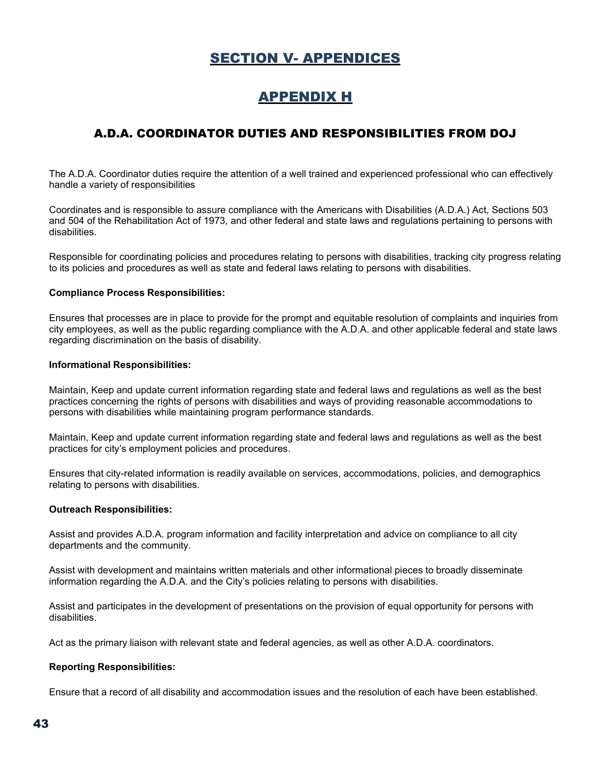## SECTION V- APPENDICES

## APPENDIX H

### A.D.A. COORDINATOR DUTIES AND RESPONSIBILITIES FROM DOJ

The A.D.A. Coordinator duties require the attention of a well trained and experienced professional who can effectively handle a variety of responsibilities

Coordinates and is responsible to assure compliance with the Americans with Disabilities (A.D.A.) Act, Sections 503 and 504 of the Rehabilitation Act of 1973, and other federal and state laws and regulations pertaining to persons with disabilities.

Responsible for coordinating policies and procedures relating to persons with disabilities, tracking city progress relating to its policies and procedures as well as state and federal laws relating to persons with disabilities.

#### **Compliance Process Responsibilities:**

Ensures that processes are in place to provide for the prompt and equitable resolution of complaints and inquiries from city employees, as well as the public regarding compliance with the A.D.A. and other applicable federal and state laws regarding discrimination on the basis of disability.

#### **Informational Responsibilities:**

Maintain, Keep and update current information regarding state and federal laws and regulations as well as the best practices concerning the rights of persons with disabilities and ways of providing reasonable accommodations to persons with disabilities while maintaining program performance standards.

Maintain, Keep and update current information regarding state and federal laws and regulations as well as the best practices for city's employment policies and procedures.

Ensures that city-related information is readily available on services, accommodations, policies, and demographics relating to persons with disabilities.

#### **Outreach Responsibilities:**

Assist and provides A.D.A. program information and facility interpretation and advice on compliance to all city departments and the community.

Assist with development and maintains written materials and other informational pieces to broadly disseminate information regarding the A.D.A. and the City's policies relating to persons with disabilities.

Assist and participates in the development of presentations on the provision of equal opportunity for persons with disabilities.

Act as the primary liaison with relevant state and federal agencies, as well as other A.D.A. coordinators.

#### **Reporting Responsibilities:**

Ensure that a record of all disability and accommodation issues and the resolution of each have been established.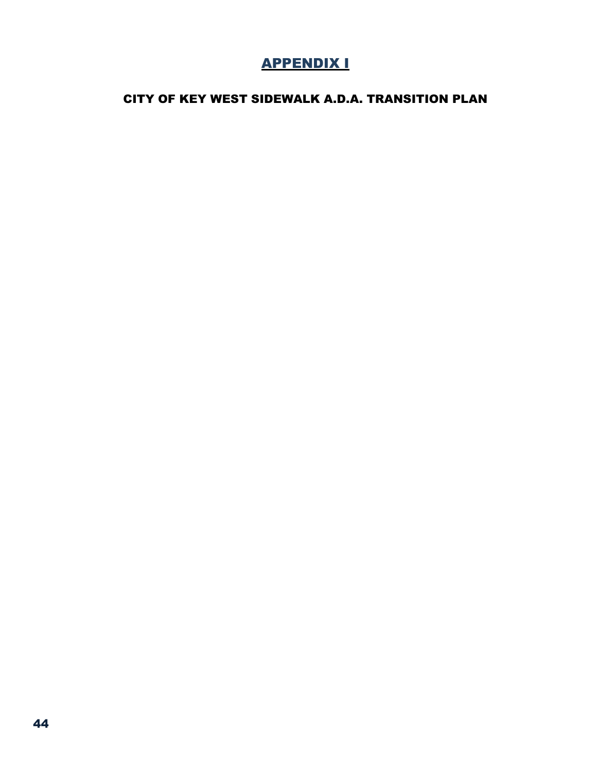## APPENDIX I

### CITY OF KEY WEST SIDEWALK A.D.A. TRANSITION PLAN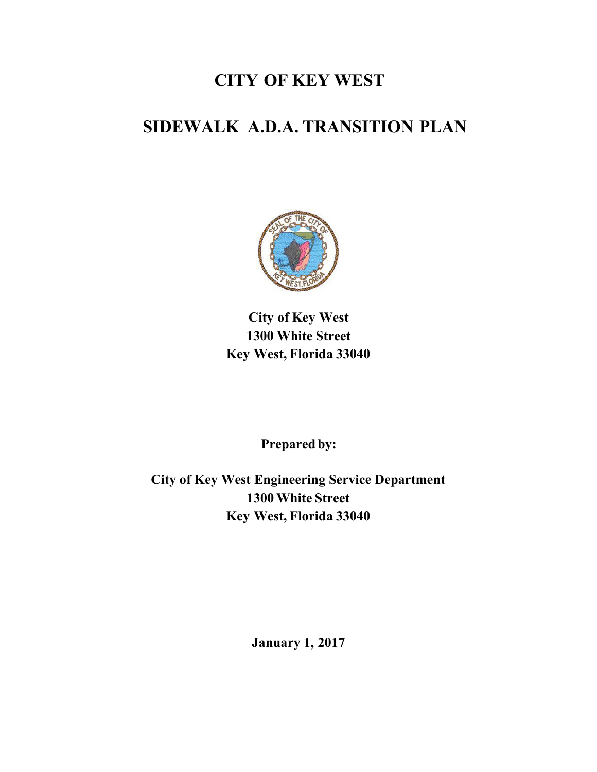## **CITY OF KEY WEST**

# **SIDEWALK A.D.A. TRANSITION PLAN**



**City of Key West 1300 White Street Key West, Florida 33040**

Prepared by:

**City of Key West Engineering Service Department 1300 White Street Key West, Florida 33040**

**January 1, 2017**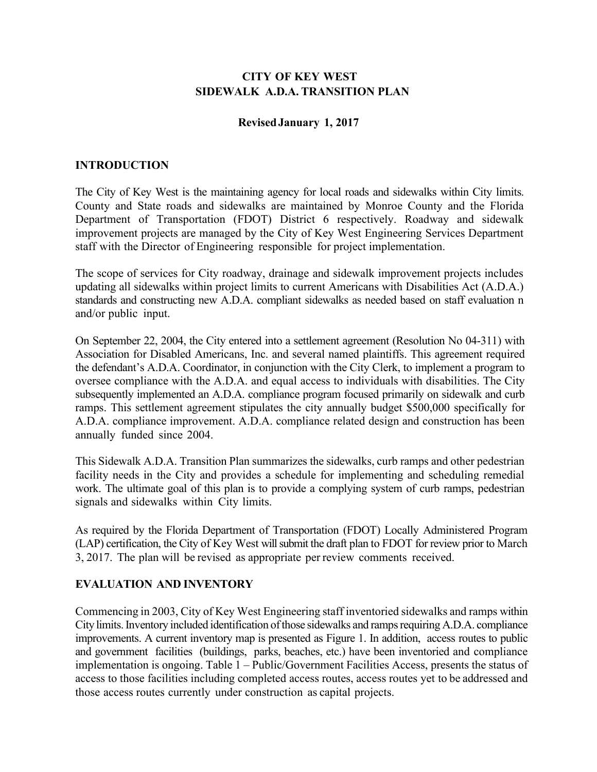#### **CITY OF KEY WEST SIDEWALK A.D.A. TRANSITION PLAN**

#### **RevisedJanuary 1, 2017**

#### **INTRODUCTION**

The City of Key West is the maintaining agency for local roads and sidewalks within City limits. County and State roads and sidewalks are maintained by Monroe County and the Florida Department of Transportation (FDOT) District 6 respectively. Roadway and sidewalk improvement projects are managed by the City of Key West Engineering Services Department staff with the Director of Engineering responsible for project implementation.

The scope of services for City roadway, drainage and sidewalk improvement projects includes updating all sidewalks within project limits to current Americans with Disabilities Act (A.D.A.) standards and constructing new A.D.A. compliant sidewalks as needed based on staff evaluation n and/or public input.

On September 22, 2004, the City entered into a settlement agreement (Resolution No 04-311) with Association for Disabled Americans, Inc. and several named plaintiffs. This agreement required the defendant's A.D.A. Coordinator, in conjunction with the City Clerk, to implement a program to oversee compliance with the A.D.A. and equal access to individuals with disabilities. The City subsequently implemented an A.D.A. compliance program focused primarily on sidewalk and curb ramps. This settlement agreement stipulates the city annually budget \$500,000 specifically for A.D.A. compliance improvement. A.D.A. compliance related design and construction has been annually funded since 2004.

This Sidewalk A.D.A. Transition Plan summarizes the sidewalks, curb ramps and other pedestrian facility needs in the City and provides a schedule for implementing and scheduling remedial work. The ultimate goal of this plan is to provide a complying system of curb ramps, pedestrian signals and sidewalks within City limits.

As required by the Florida Department of Transportation (FDOT) Locally Administered Program (LAP) certification, the City of Key West will submit the draft plan to FDOT for review prior to March 3, 2017. The plan will be revised as appropriate per review comments received.

#### **EVALUATION AND INVENTORY**

Commencing in 2003, City of Key West Engineering staff inventoried sidewalks and ramps within City limits.Inventory included identification of those sidewalks and ramps requiring A.D.A. compliance improvements. A current inventory map is presented as Figure 1. In addition, access routes to public and government facilities (buildings, parks, beaches, etc.) have been inventoried and compliance implementation is ongoing. Table 1 – Public/Government Facilities Access, presents the status of access to those facilities including completed access routes, access routes yet to be addressed and those access routes currently under construction as capital projects.